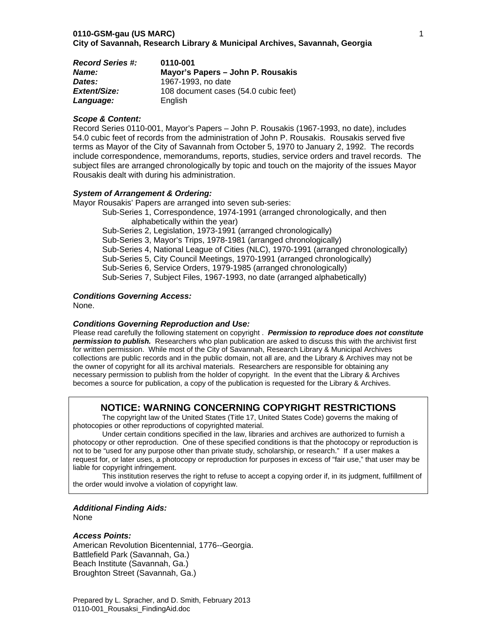| <b>Record Series #:</b> | 0110-001                             |
|-------------------------|--------------------------------------|
| <b>Name:</b>            | Mayor's Papers – John P. Rousakis    |
| Dates:                  | 1967-1993, no date                   |
| Extent/Size:            | 108 document cases (54.0 cubic feet) |
| Language:               | English                              |

#### *Scope & Content:*

Record Series 0110-001, Mayor's Papers – John P. Rousakis (1967-1993, no date), includes 54.0 cubic feet of records from the administration of John P. Rousakis. Rousakis served five terms as Mayor of the City of Savannah from October 5, 1970 to January 2, 1992. The records include correspondence, memorandums, reports, studies, service orders and travel records. The subject files are arranged chronologically by topic and touch on the majority of the issues Mayor Rousakis dealt with during his administration.

#### *System of Arrangement & Ordering:*

Mayor Rousakis' Papers are arranged into seven sub-series:

Sub-Series 1, Correspondence, 1974-1991 (arranged chronologically, and then alphabetically within the year) Sub-Series 2, Legislation, 1973-1991 (arranged chronologically) Sub-Series 3, Mayor's Trips, 1978-1981 (arranged chronologically) Sub-Series 4, National League of Cities (NLC), 1970-1991 (arranged chronologically) Sub-Series 5, City Council Meetings, 1970-1991 (arranged chronologically) Sub-Series 6, Service Orders, 1979-1985 (arranged chronologically) Sub-Series 7, Subject Files, 1967-1993, no date (arranged alphabetically)

#### *Conditions Governing Access:*

None.

#### *Conditions Governing Reproduction and Use:*

Please read carefully the following statement on copyright . *Permission to reproduce does not constitute permission to publish.* Researchers who plan publication are asked to discuss this with the archivist first for written permission. While most of the City of Savannah, Research Library & Municipal Archives collections are public records and in the public domain, not all are, and the Library & Archives may not be the owner of copyright for all its archival materials. Researchers are responsible for obtaining any necessary permission to publish from the holder of copyright. In the event that the Library & Archives becomes a source for publication, a copy of the publication is requested for the Library & Archives.

# **NOTICE: WARNING CONCERNING COPYRIGHT RESTRICTIONS**

The copyright law of the United States (Title 17, United States Code) governs the making of photocopies or other reproductions of copyrighted material.

Under certain conditions specified in the law, libraries and archives are authorized to furnish a photocopy or other reproduction. One of these specified conditions is that the photocopy or reproduction is not to be "used for any purpose other than private study, scholarship, or research." If a user makes a request for, or later uses, a photocopy or reproduction for purposes in excess of "fair use," that user may be liable for copyright infringement.

This institution reserves the right to refuse to accept a copying order if, in its judgment, fulfillment of the order would involve a violation of copyright law.

## *Additional Finding Aids:*

None

#### *Access Points:*

American Revolution Bicentennial, 1776--Georgia. Battlefield Park (Savannah, Ga.) Beach Institute (Savannah, Ga.) Broughton Street (Savannah, Ga.)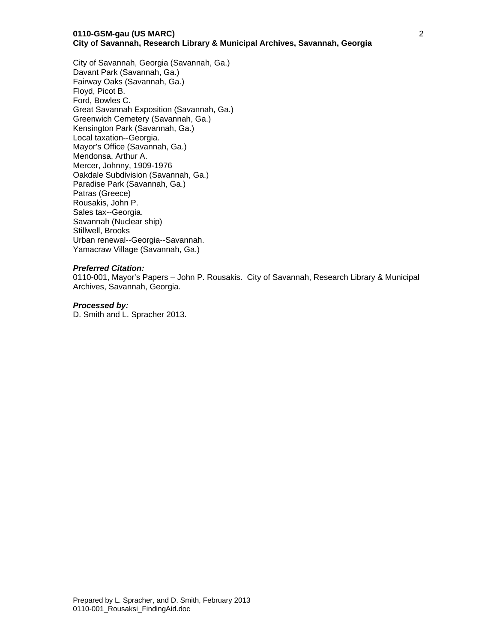#### **0110-GSM-gau (US MARC) City of Savannah, Research Library & Municipal Archives, Savannah, Georgia**

City of Savannah, Georgia (Savannah, Ga.) Davant Park (Savannah, Ga.) Fairway Oaks (Savannah, Ga.) Floyd, Picot B. Ford, Bowles C. Great Savannah Exposition (Savannah, Ga.) Greenwich Cemetery (Savannah, Ga.) Kensington Park (Savannah, Ga.) Local taxation--Georgia. Mayor's Office (Savannah, Ga.) Mendonsa, Arthur A. Mercer, Johnny, 1909-1976 Oakdale Subdivision (Savannah, Ga.) Paradise Park (Savannah, Ga.) Patras (Greece) Rousakis, John P. Sales tax--Georgia. Savannah (Nuclear ship) Stillwell, Brooks Urban renewal--Georgia--Savannah. Yamacraw Village (Savannah, Ga.)

#### *Preferred Citation:*

0110-001, Mayor's Papers – John P. Rousakis. City of Savannah, Research Library & Municipal Archives, Savannah, Georgia.

#### *Processed by:*

D. Smith and L. Spracher 2013.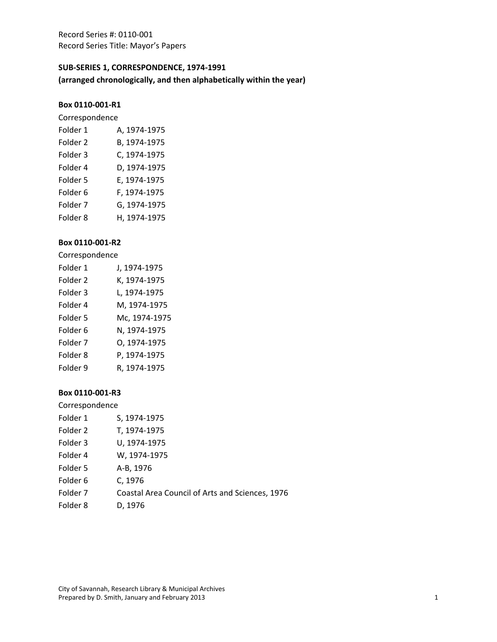# **SUB‐SERIES 1, CORRESPONDENCE, 1974‐1991**

**(arranged chronologically, and then alphabetically within the year)**

#### **Box 0110‐001‐R1**

Correspondence

| Folder 1            | A, 1974-1975 |
|---------------------|--------------|
| Folder <sub>2</sub> | B, 1974-1975 |
| Folder 3            | C, 1974-1975 |
| Folder 4            | D, 1974-1975 |
| Folder 5            | E, 1974-1975 |
| Folder 6            | F, 1974-1975 |
| Folder 7            | G, 1974-1975 |
| Folder 8            | H, 1974-1975 |

# **Box 0110‐001‐R2**

Correspondence

| Folder 1            | J, 1974-1975  |
|---------------------|---------------|
| Folder 2            | K, 1974-1975  |
| Folder <sub>3</sub> | L, 1974-1975  |
| Folder 4            | M, 1974-1975  |
| Folder 5            | Mc, 1974-1975 |
| Folder <sub>6</sub> | N, 1974-1975  |
| Folder <sub>7</sub> | 0, 1974-1975  |
| Folder <sub>8</sub> | P, 1974-1975  |
| Folder 9            | R, 1974-1975  |

| Correspondence      |                                                 |
|---------------------|-------------------------------------------------|
| Folder 1            | S, 1974-1975                                    |
| Folder 2            | T, 1974-1975                                    |
| Folder 3            | U, 1974-1975                                    |
| Folder 4            | W, 1974-1975                                    |
| Folder 5            | A-B, 1976                                       |
| Folder 6            | C, 1976                                         |
| Folder <sub>7</sub> | Coastal Area Council of Arts and Sciences, 1976 |
| Folder <sub>8</sub> | D, 1976                                         |
|                     |                                                 |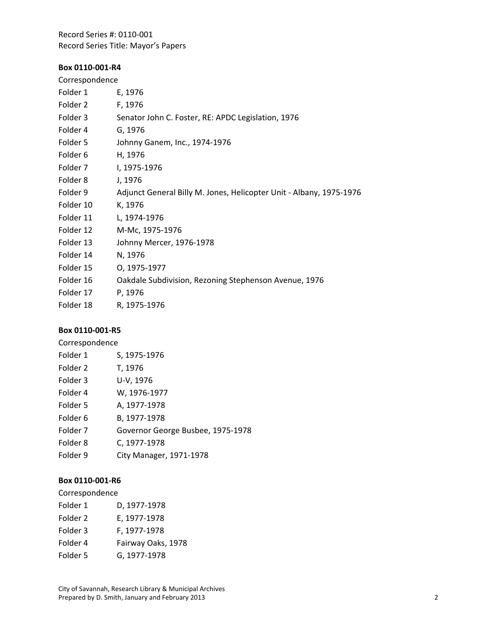# **Box 0110‐001‐R4**

| Correspondence |                                                                     |
|----------------|---------------------------------------------------------------------|
| Folder 1       | E, 1976                                                             |
| Folder 2       | F, 1976                                                             |
| Folder 3       | Senator John C. Foster, RE: APDC Legislation, 1976                  |
| Folder 4       | G, 1976                                                             |
| Folder 5       | Johnny Ganem, Inc., 1974-1976                                       |
| Folder 6       | H, 1976                                                             |
| Folder 7       | I, 1975-1976                                                        |
| Folder 8       | J, 1976                                                             |
| Folder 9       | Adjunct General Billy M. Jones, Helicopter Unit - Albany, 1975-1976 |
| Folder 10      | K, 1976                                                             |
| Folder 11      | L, 1974-1976                                                        |
| Folder 12      | M-Mc, 1975-1976                                                     |
| Folder 13      | Johnny Mercer, 1976-1978                                            |
| Folder 14      | N, 1976                                                             |
| Folder 15      | 0, 1975-1977                                                        |
| Folder 16      | Oakdale Subdivision, Rezoning Stephenson Avenue, 1976               |
| Folder 17      | P, 1976                                                             |
| Folder 18      | R, 1975-1976                                                        |

# **Box 0110‐001‐R5**

| Correspondence      |                                   |
|---------------------|-----------------------------------|
| Folder 1            | S, 1975-1976                      |
| Folder 2            | T, 1976                           |
| Folder 3            | U-V, 1976                         |
| Folder 4            | W, 1976-1977                      |
| Folder 5            | A, 1977-1978                      |
| Folder 6            | B, 1977-1978                      |
| Folder <sub>7</sub> | Governor George Busbee, 1975-1978 |
| Folder 8            | C, 1977-1978                      |
| Folder 9            | City Manager, 1971-1978           |
|                     |                                   |

## **Box 0110‐001‐R6**

Correspondence

| Folder 1 | D, 1977-1978       |
|----------|--------------------|
| Folder 2 | E, 1977-1978       |
| Folder 3 | F, 1977-1978       |
| Folder 4 | Fairway Oaks, 1978 |
| Folder 5 | G, 1977-1978       |

City of Savannah, Research Library & Municipal Archives Prepared by D. Smith, January and February 2013  **2** 2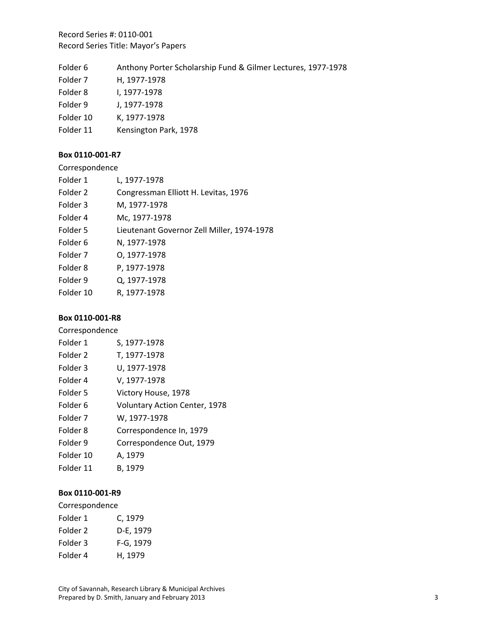| Folder 6 |  |  |  | Anthony Porter Scholarship Fund & Gilmer Lectures, 1977-1978 |  |
|----------|--|--|--|--------------------------------------------------------------|--|
|----------|--|--|--|--------------------------------------------------------------|--|

1978

| Folder <sub>7</sub> | H, 1977-1978     |
|---------------------|------------------|
| Folder 8            | I, 1977-1978     |
| Folder 9            | J, 1977-1978     |
| Folder 10           | K, 1977-1978     |
| Folder 11           | Kensington Park, |

## **Box 0110‐001‐R7**

| Correspondence      |                                            |
|---------------------|--------------------------------------------|
| Folder 1            | L, 1977-1978                               |
| Folder <sub>2</sub> | Congressman Elliott H. Levitas, 1976       |
| Folder 3            | M, 1977-1978                               |
| Folder 4            | Mc, 1977-1978                              |
| Folder 5            | Lieutenant Governor Zell Miller, 1974-1978 |
| Folder <sub>6</sub> | N. 1977-1978                               |
| Folder <sub>7</sub> | 0.1977-1978                                |
| Folder 8            | P, 1977-1978                               |
| Folder 9            | Q, 1977-1978                               |
| Folder 10           | R. 1977-1978                               |

#### **Box 0110‐001‐R8**

| Correspondence |                                      |
|----------------|--------------------------------------|
| Folder 1       | S, 1977-1978                         |
| Folder 2       | T, 1977-1978                         |
| Folder 3       | U, 1977-1978                         |
| Folder 4       | V, 1977-1978                         |
| Folder 5       | Victory House, 1978                  |
| Folder 6       | <b>Voluntary Action Center, 1978</b> |
| Folder 7       | W, 1977-1978                         |
| Folder 8       | Correspondence In, 1979              |
| Folder 9       | Correspondence Out, 1979             |
| Folder 10      | A, 1979                              |
| Folder 11      | B. 1979                              |

# **Box 0110‐001‐R9**

| Folder 1 | C, 1979   |
|----------|-----------|
| Folder 2 | D-E, 1979 |
| Folder 3 | F-G, 1979 |
| Folder 4 | H, 1979   |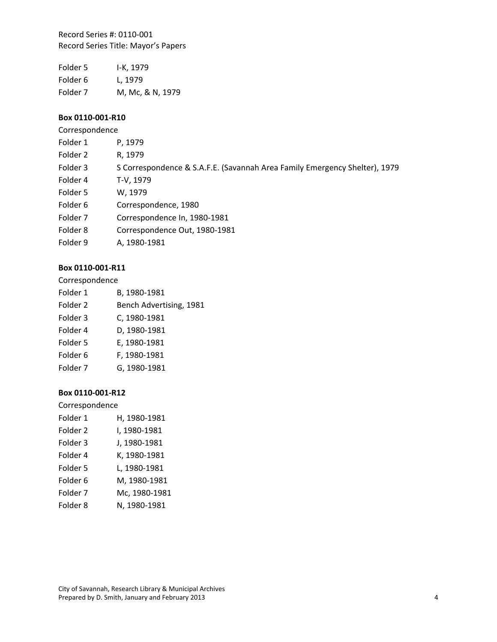Folder 5 I‐K, 1979 Folder 6 L, 1979 Folder 7 M, Mc, & N, 1979

## **Box 0110‐001‐R10**

Correspondence

| Folder 1            | P, 1979                                                                    |
|---------------------|----------------------------------------------------------------------------|
| Folder 2            | R, 1979                                                                    |
| Folder 3            | S Correspondence & S.A.F.E. (Savannah Area Family Emergency Shelter), 1979 |
| Folder 4            | T-V, 1979                                                                  |
| Folder 5            | W, 1979                                                                    |
| Folder 6            | Correspondence, 1980                                                       |
| Folder <sub>7</sub> | Correspondence In, 1980-1981                                               |
| Folder 8            | Correspondence Out, 1980-1981                                              |
| Folder 9            | A, 1980-1981                                                               |

# **Box 0110‐001‐R11**

Correspondence

| B, 1980-1981            |
|-------------------------|
| Bench Advertising, 1981 |
| C, 1980-1981            |
| D, 1980-1981            |
| E, 1980-1981            |
| F, 1980-1981            |
| G, 1980-1981            |
|                         |

## **Box 0110‐001‐R12**

| Folder 1            | H, 1980-1981  |
|---------------------|---------------|
| Folder 2            | I, 1980-1981  |
| Folder <sub>3</sub> | J, 1980-1981  |
| Folder 4            | K, 1980-1981  |
| Folder 5            | L, 1980-1981  |
| Folder <sub>6</sub> | M, 1980-1981  |
| Folder 7            | Mc, 1980-1981 |
| Folder <sub>8</sub> | N, 1980-1981  |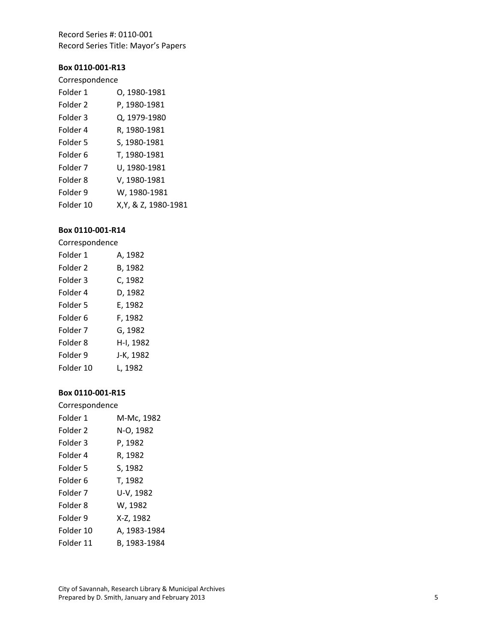#### **Box 0110 ‐001 ‐R13**

## Correspondence

| Folder 1            | 0, 1980-1981         |
|---------------------|----------------------|
| Folder 2            | P, 1980-1981         |
| Folder 3            | Q, 1979-1980         |
| Folder 4            | R, 1980-1981         |
| Folder 5            | S, 1980-1981         |
| Folder 6            | T, 1980-1981         |
| Folder <sub>7</sub> | U, 1980-1981         |
| Folder 8            | V, 1980-1981         |
| Folder 9            | W, 1980-1981         |
| Folder 10           | X, Y, & Z, 1980-1981 |

## **Box 0110 ‐001 ‐R14**

#### Correspondence

| Folder 1  | A, 1982   |
|-----------|-----------|
| Folder 2  | B, 1982   |
| Folder 3  | C, 1982   |
| Folder 4  | D, 1982   |
| Folder 5  | E, 1982   |
| Folder 6  | F, 1982   |
| Folder 7  | G, 1982   |
| Folder 8  | H-I, 1982 |
| Folder 9  | J-K, 1982 |
| Folder 10 | L. 1982   |

| Correspondence |              |
|----------------|--------------|
| Folder 1       | M-Mc, 1982   |
| Folder 2       | N-O, 1982    |
| Folder 3       | P, 1982      |
| Folder 4       | R, 1982      |
| Folder 5       | S, 1982      |
| Folder 6       | T, 1982      |
| Folder 7       | U-V, 1982    |
| Folder 8       | W, 1982      |
| Folder 9       | X-Z, 1982    |
| Folder 10      | A. 1983-1984 |
| Folder 11      | B. 1983-1984 |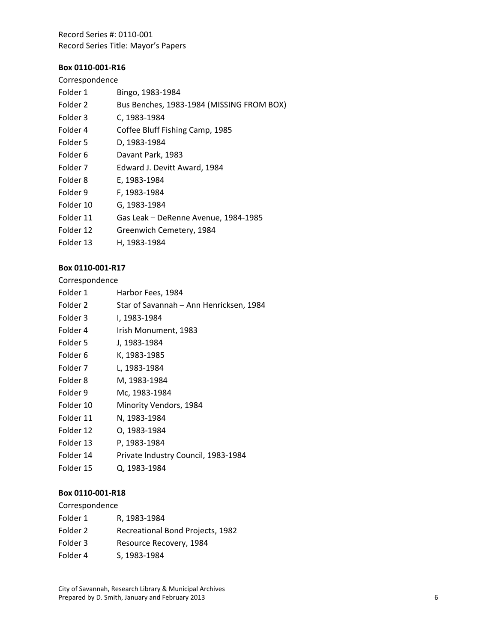# **Box 0110‐001‐R16**

# Correspondence

| Folder 1            | Bingo, 1983-1984                          |
|---------------------|-------------------------------------------|
| Folder <sub>2</sub> | Bus Benches, 1983-1984 (MISSING FROM BOX) |
| Folder 3            | C, 1983-1984                              |
| Folder 4            | Coffee Bluff Fishing Camp, 1985           |
| Folder 5            | D, 1983-1984                              |
| Folder 6            | Davant Park, 1983                         |
| Folder <sub>7</sub> | Edward J. Devitt Award, 1984              |
| Folder 8            | E, 1983-1984                              |
| Folder 9            | F, 1983-1984                              |
| Folder 10           | G, 1983-1984                              |
| Folder 11           | Gas Leak - DeRenne Avenue, 1984-1985      |
| Folder 12           | Greenwich Cemetery, 1984                  |
| Folder 13           | H, 1983-1984                              |
|                     |                                           |

## **Box 0110‐001‐R17**

## Correspondence

| Folder 1            | Harbor Fees, 1984                       |
|---------------------|-----------------------------------------|
| Folder <sub>2</sub> | Star of Savannah - Ann Henricksen, 1984 |
| Folder 3            | I, 1983-1984                            |
| Folder 4            | Irish Monument, 1983                    |
| Folder 5            | J, 1983-1984                            |
| Folder 6            | K, 1983-1985                            |
| Folder 7            | L, 1983-1984                            |
| Folder 8            | M, 1983-1984                            |
| Folder 9            | Mc, 1983-1984                           |
| Folder 10           | Minority Vendors, 1984                  |
| Folder 11           | N, 1983-1984                            |
| Folder 12           | 0, 1983-1984                            |
| Folder 13           | P, 1983-1984                            |
| Folder 14           | Private Industry Council, 1983-1984     |

Folder 15 Q, 1983‐1984

#### **Box 0110‐001‐R18**

| Folder 1 | R. 1983-1984                     |
|----------|----------------------------------|
| Folder 2 | Recreational Bond Projects, 1982 |
| Folder 3 | Resource Recovery, 1984          |
| Folder 4 | S, 1983-1984                     |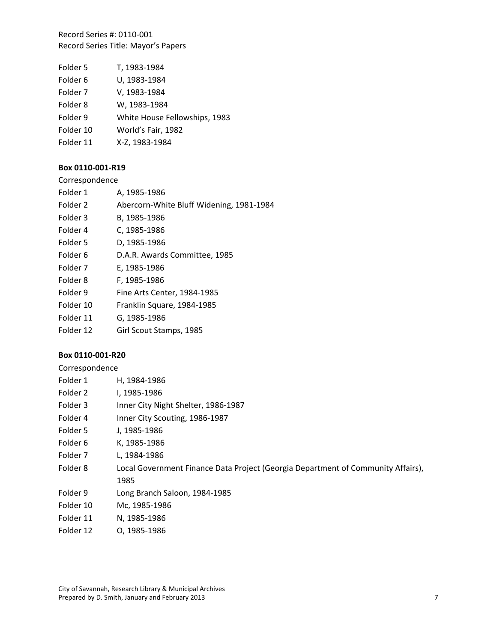| Folder 5  | T, 1983-1984                  |
|-----------|-------------------------------|
| Folder 6  | U, 1983-1984                  |
| Folder 7  | V, 1983-1984                  |
| Folder 8  | W, 1983-1984                  |
| Folder 9  | White House Fellowships, 1983 |
| Folder 10 | World's Fair, 1982            |
| Folder 11 | X-Z, 1983-1984                |

## **Box 0110‐001‐R19**

Correspondence

| Folder 1  | A, 1985-1986                             |
|-----------|------------------------------------------|
| Folder 2  | Abercorn-White Bluff Widening, 1981-1984 |
| Folder 3  | B, 1985-1986                             |
| Folder 4  | C, 1985-1986                             |
| Folder 5  | D, 1985-1986                             |
| Folder 6  | D.A.R. Awards Committee, 1985            |
| Folder 7  | E, 1985-1986                             |
| Folder 8  | F, 1985-1986                             |
| Folder 9  | Fine Arts Center, 1984-1985              |
| Folder 10 | Franklin Square, 1984-1985               |
| Folder 11 | G, 1985-1986                             |
| Folder 12 | Girl Scout Stamps, 1985                  |

## **Box 0110‐001‐R20**

| Folder 1  | H, 1984-1986                                                                     |
|-----------|----------------------------------------------------------------------------------|
| Folder 2  | I, 1985-1986                                                                     |
| Folder 3  | Inner City Night Shelter, 1986-1987                                              |
| Folder 4  | Inner City Scouting, 1986-1987                                                   |
| Folder 5  | J, 1985-1986                                                                     |
| Folder 6  | K, 1985-1986                                                                     |
| Folder 7  | L. 1984-1986                                                                     |
| Folder 8  | Local Government Finance Data Project (Georgia Department of Community Affairs), |
|           | 1985                                                                             |
| Folder 9  | Long Branch Saloon, 1984-1985                                                    |
| Folder 10 | Mc, 1985-1986                                                                    |
| Folder 11 | N, 1985-1986                                                                     |
| Folder 12 | 0, 1985-1986                                                                     |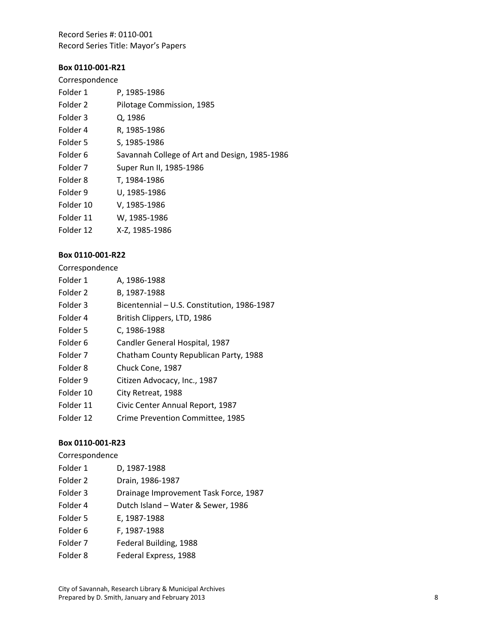## **Box 0110‐001‐R21**

| Correspondence |  |  |
|----------------|--|--|
|----------------|--|--|

| Folder 1            | P, 1985-1986                                  |
|---------------------|-----------------------------------------------|
| Folder 2            | Pilotage Commission, 1985                     |
| Folder 3            | Q, 1986                                       |
| Folder 4            | R, 1985-1986                                  |
| Folder 5            | S, 1985-1986                                  |
| Folder 6            | Savannah College of Art and Design, 1985-1986 |
| Folder <sub>7</sub> | Super Run II, 1985-1986                       |
| Folder 8            | T, 1984-1986                                  |
| Folder 9            | U, 1985-1986                                  |
| Folder 10           | V, 1985-1986                                  |
| Folder 11           | W, 1985-1986                                  |
| Folder 12           | X-Z, 1985-1986                                |
|                     |                                               |

#### **Box 0110‐001‐R22**

Correspondence

| Folder 1            | A, 1986-1988                                |
|---------------------|---------------------------------------------|
| Folder <sub>2</sub> | B, 1987-1988                                |
| Folder 3            | Bicentennial - U.S. Constitution, 1986-1987 |
| Folder 4            | British Clippers, LTD, 1986                 |
| Folder 5            | C, 1986-1988                                |
| Folder <sub>6</sub> | Candler General Hospital, 1987              |
| Folder 7            | Chatham County Republican Party, 1988       |
| Folder 8            | Chuck Cone, 1987                            |
| Folder 9            | Citizen Advocacy, Inc., 1987                |
| Folder 10           | City Retreat, 1988                          |
| Folder 11           | Civic Center Annual Report, 1987            |
| Folder 12           | Crime Prevention Committee, 1985            |

### **Box 0110‐001‐R23**

| Folder 1 | D, 1987-1988     |
|----------|------------------|
| Folder 2 | Drain, 1986-1987 |

- Folder 3 Drainage Improvement Task Force, 1987 Folder 4 Dutch Island – Water & Sewer, 1986
- Folder 5 E, 1987‐1988
- Folder 6 F, 1987-1988
- Folder 7 Federal Building, 1988
- Folder 8 Federal Express, 1988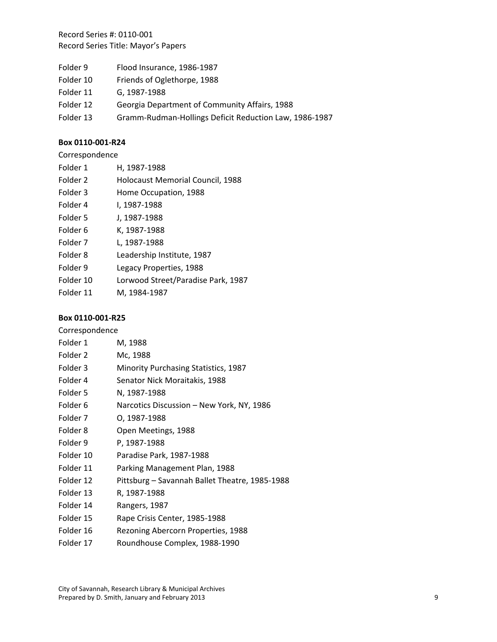- Folder 9 Flood Insurance, 1986-1987
- Folder 10 Friends of Oglethorpe, 1988
- Folder 11 G, 1987‐1988
- Folder 12 Georgia Department of Community Affairs, 1988
- Folder 13 Gramm-Rudman-Hollings Deficit Reduction Law, 1986-1987

## **Box 0110‐001‐R24**

| Correspondence |
|----------------|
|----------------|

| Folder 1 | H, 1987-1988 |
|----------|--------------|
|----------|--------------|

| Folder 2 | <b>Holocaust Memorial Council, 1988</b> |  |  |
|----------|-----------------------------------------|--|--|
|          |                                         |  |  |

- Folder 3 Home Occupation, 1988
- Folder 4 I, 1987‐1988
- Folder 5 J, 1987‐1988
- Folder 6 K, 1987-1988
- Folder 7 L, 1987‐1988
- Folder 8 Leadership Institute, 1987
- Folder 9 Legacy Properties, 1988
- Folder 10 Lorwood Street/Paradise Park, 1987
- Folder 11 M, 1984‐1987

## **Box 0110‐001‐R25**

| Folder 1  | M, 1988                                        |
|-----------|------------------------------------------------|
| Folder 2  | Mc, 1988                                       |
| Folder 3  | <b>Minority Purchasing Statistics, 1987</b>    |
| Folder 4  | Senator Nick Moraitakis, 1988                  |
| Folder 5  | N, 1987-1988                                   |
| Folder 6  | Narcotics Discussion – New York, NY, 1986      |
| Folder 7  | 0, 1987-1988                                   |
| Folder 8  | Open Meetings, 1988                            |
| Folder 9  | P, 1987-1988                                   |
| Folder 10 | Paradise Park, 1987-1988                       |
| Folder 11 | Parking Management Plan, 1988                  |
| Folder 12 | Pittsburg - Savannah Ballet Theatre, 1985-1988 |
| Folder 13 | R, 1987-1988                                   |
| Folder 14 | Rangers, 1987                                  |
| Folder 15 | Rape Crisis Center, 1985-1988                  |
| Folder 16 | Rezoning Abercorn Properties, 1988             |

Folder 17 Roundhouse Complex, 1988-1990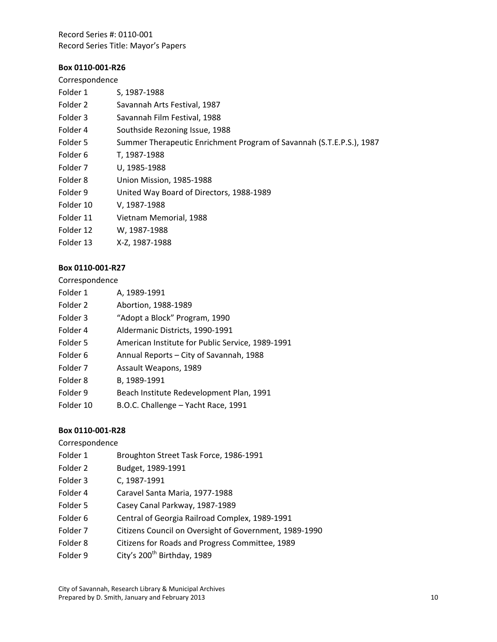#### **Box 0110‐001‐R26**

| Correspondence |                                                                      |
|----------------|----------------------------------------------------------------------|
| Folder 1       | S, 1987-1988                                                         |
| Folder 2       | Savannah Arts Festival, 1987                                         |
| Folder 3       | Savannah Film Festival, 1988                                         |
| Folder 4       | Southside Rezoning Issue, 1988                                       |
| Folder 5       | Summer Therapeutic Enrichment Program of Savannah (S.T.E.P.S.), 1987 |
| Folder 6       | T, 1987-1988                                                         |
| Folder 7       | U, 1985-1988                                                         |
| Folder 8       | Union Mission, 1985-1988                                             |
| Folder 9       | United Way Board of Directors, 1988-1989                             |
| Folder 10      | V, 1987-1988                                                         |
| Folder 11      | Vietnam Memorial, 1988                                               |
| Folder 12      | W, 1987-1988                                                         |
| Folder 13      | X-Z, 1987-1988                                                       |
|                |                                                                      |

# **Box 0110‐001‐R27**

#### Correspondence

| A, 1989-1991                                     |
|--------------------------------------------------|
| Abortion, 1988-1989                              |
| "Adopt a Block" Program, 1990                    |
| Aldermanic Districts, 1990-1991                  |
| American Institute for Public Service, 1989-1991 |
| Annual Reports – City of Savannah, 1988          |
| Assault Weapons, 1989                            |
| B, 1989-1991                                     |
| Beach Institute Redevelopment Plan, 1991         |
| B.O.C. Challenge - Yacht Race, 1991              |
|                                                  |

### **Box 0110‐001‐R28**

- Folder 1 Broughton Street Task Force, 1986-1991
- Folder 2 Budget, 1989‐1991
- Folder 3 C, 1987-1991
- Folder 4 Caravel Santa Maria, 1977‐1988
- Folder 5 Casey Canal Parkway, 1987-1989
- Folder 6 Central of Georgia Railroad Complex, 1989-1991
- Folder 7 Citizens Council on Oversight of Government, 1989-1990
- Folder 8 Citizens for Roads and Progress Committee, 1989
- Folder 9 City's 200<sup>th</sup> Birthday, 1989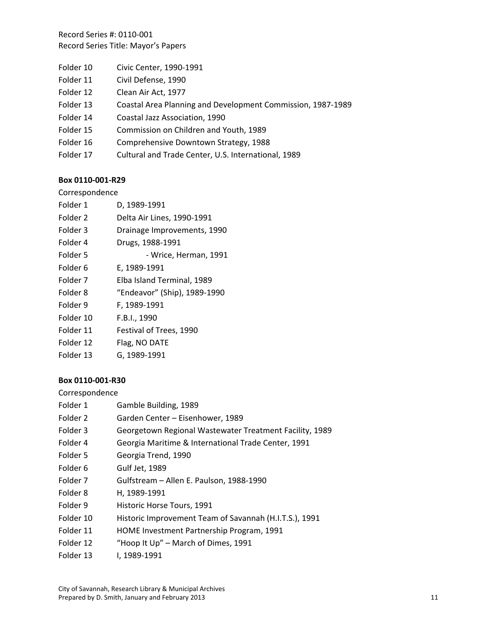- Folder 10 Civic Center, 1990-1991
- Folder 11 Civil Defense, 1990
- Folder 12 Clean Air Act, 1977
- Folder 13 Coastal Area Planning and Development Commission, 1987‐1989
- Folder 14 Coastal Jazz Association, 1990
- Folder 15 Commission on Children and Youth, 1989
- Folder 16 Comprehensive Downtown Strategy, 1988
- Folder 17 Cultural and Trade Center, U.S. International, 1989

#### **Box 0110‐001‐R29**

#### Correspondence

| Folder 1  | D, 1989-1991                 |
|-----------|------------------------------|
| Folder 2  | Delta Air Lines, 1990-1991   |
| Folder 3  | Drainage Improvements, 1990  |
| Folder 4  | Drugs, 1988-1991             |
| Folder 5  | - Wrice, Herman, 1991        |
| Folder 6  | E, 1989-1991                 |
| Folder 7  | Elba Island Terminal, 1989   |
| Folder 8  | "Endeavor" (Ship), 1989-1990 |
| Folder 9  | F, 1989-1991                 |
| Folder 10 | F.B.I., 1990                 |
| Folder 11 | Festival of Trees, 1990      |
| Folder 12 | Flag, NO DATE                |
| Folder 13 | G, 1989-1991                 |

### **Box 0110‐001‐R30**

- Folder 1 Gamble Building, 1989
- Folder 2 Garden Center Eisenhower, 1989
- Folder 3 Georgetown Regional Wastewater Treatment Facility, 1989
- Folder 4 Georgia Maritime & International Trade Center, 1991
- Folder 5 Georgia Trend, 1990
- Folder 6 Gulf Jet, 1989
- Folder 7 Gulfstream Allen E. Paulson, 1988‐1990
- Folder 8 H, 1989‐1991
- Folder 9 Historic Horse Tours, 1991
- Folder 10 Historic Improvement Team of Savannah (H.I.T.S.), 1991
- Folder 11 HOME Investment Partnership Program, 1991
- Folder 12 "Hoop It Up" March of Dimes, 1991
- Folder 13 I, 1989-1991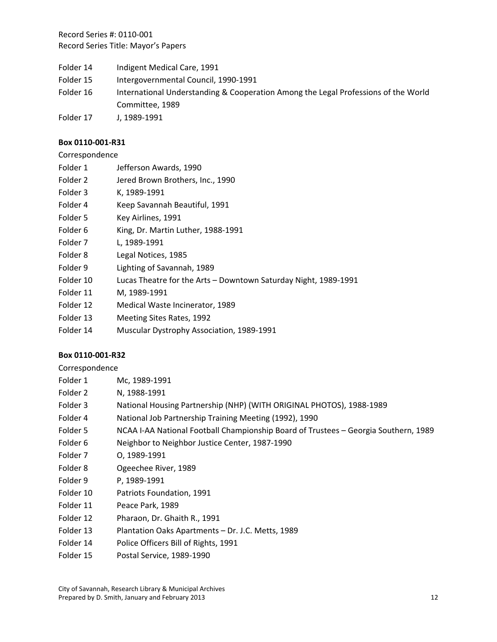Folder 14 Indigent Medical Care, 1991 Folder 15 Intergovernmental Council, 1990-1991 Folder 16 International Understanding & Cooperation Among the Legal Professions of the World Committee, 1989 Folder 17 J, 1989-1991

## **Box 0110‐001‐R31**

| Correspondence |  |
|----------------|--|
|----------------|--|

| Folder 1 | Jefferson Awards, 1990 |
|----------|------------------------|
|----------|------------------------|

- Folder 2 Jered Brown Brothers, Inc., 1990
- Folder 3 K, 1989-1991
- Folder 4 Keep Savannah Beautiful, 1991
- Folder 5 Key Airlines, 1991
- Folder 6 King, Dr. Martin Luther, 1988-1991
- Folder 7 L, 1989‐1991
- Folder 8 Legal Notices, 1985
- Folder 9 Lighting of Savannah, 1989
- Folder 10 Lucas Theatre for the Arts Downtown Saturday Night, 1989-1991
- Folder 11 M, 1989‐1991
- Folder 12 Medical Waste Incinerator, 1989
- Folder 13 Meeting Sites Rates, 1992
- Folder 14 Muscular Dystrophy Association, 1989-1991

### **Box 0110‐001‐R32**

| Folder 1 | Mc. 1989-1991                                                        |
|----------|----------------------------------------------------------------------|
| Folder 2 | N. 1988-1991                                                         |
| Folder 3 | National Housing Partnership (NHP) (WITH ORIGINAL PHOTOS), 1988-1989 |

- Folder 4 National Job Partnership Training Meeting (1992), 1990
- Folder 5 NCAA I-AA National Football Championship Board of Trustees Georgia Southern, 1989
- Folder 6 Neighbor to Neighbor Justice Center, 1987-1990
- Folder 7 O, 1989‐1991
- Folder 8 Ogeechee River, 1989
- Folder 9 P, 1989-1991
- Folder 10 Patriots Foundation, 1991
- Folder 11 Peace Park, 1989
- Folder 12 Pharaon, Dr. Ghaith R., 1991
- Folder 13 Plantation Oaks Apartments Dr. J.C. Metts, 1989
- Folder 14 Police Officers Bill of Rights, 1991
- Folder 15 Postal Service, 1989-1990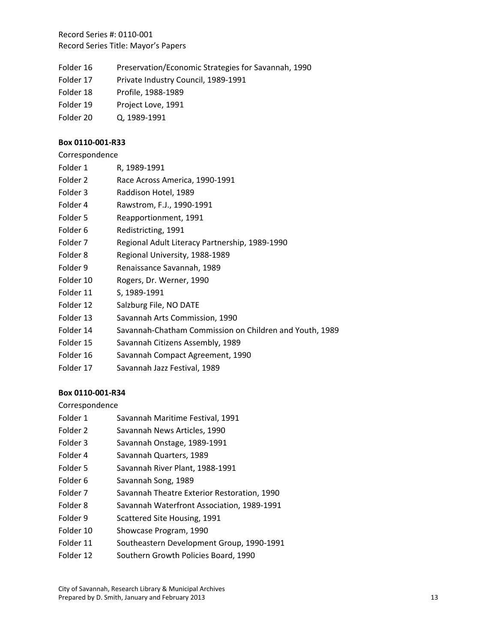- Folder 16 Preservation/Economic Strategies for Savannah, 1990
- Folder 17 Private Industry Council, 1989-1991
- Folder 18 Profile, 1988‐1989
- Folder 19 Project Love, 1991
- Folder 20 Q, 1989‐1991

## **Box 0110‐001‐R33**

| Correspondence |
|----------------|
|----------------|

- Folder 2 Race Across America, 1990-1991
- Folder 3 Raddison Hotel, 1989
- Folder 4 Rawstrom, F.J., 1990‐1991
- Folder 5 Reapportionment, 1991
- Folder 6 Redistricting, 1991
- Folder 7 Regional Adult Literacy Partnership, 1989-1990
- Folder 8 Regional University, 1988-1989
- Folder 9 Renaissance Savannah, 1989
- Folder 10 Rogers, Dr. Werner, 1990
- Folder 11 S, 1989-1991
- Folder 12 Salzburg File, NO DATE
- Folder 13 Savannah Arts Commission, 1990
- Folder 14 Savannah-Chatham Commission on Children and Youth, 1989
- Folder 15 Savannah Citizens Assembly, 1989
- Folder 16 Savannah Compact Agreement, 1990
- Folder 17 Savannah Jazz Festival, 1989

# **Box 0110‐001‐R34**

- Folder 1 Savannah Maritime Festival, 1991
- Folder 2 Savannah News Articles, 1990
- Folder 3 Savannah Onstage, 1989-1991
- Folder 4 Savannah Quarters, 1989
- Folder 5 Savannah River Plant, 1988-1991
- Folder 6 Savannah Song, 1989
- Folder 7 Savannah Theatre Exterior Restoration, 1990
- Folder 8 Savannah Waterfront Association, 1989-1991
- Folder 9 Scattered Site Housing, 1991
- Folder 10 Showcase Program, 1990
- Folder 11 Southeastern Development Group, 1990‐1991
- Folder 12 Southern Growth Policies Board, 1990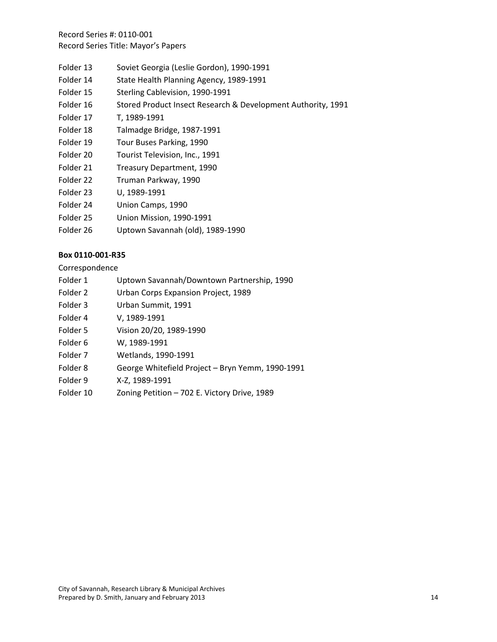- Folder 13 Soviet Georgia (Leslie Gordon), 1990‐1991
- Folder 14 State Health Planning Agency, 1989-1991
- Folder 15 Sterling Cablevision, 1990-1991
- Folder 16 Stored Product Insect Research & Development Authority, 1991
- Folder 17 T, 1989-1991
- Folder 18 Talmadge Bridge, 1987‐1991
- Folder 19 Tour Buses Parking, 1990
- Folder 20 Tourist Television, Inc., 1991
- Folder 21 Treasury Department, 1990
- Folder 22 Truman Parkway, 1990
- Folder 23 U, 1989‐1991
- Folder 24 Union Camps, 1990
- Folder 25 Union Mission, 1990-1991
- Folder 26 Uptown Savannah (old), 1989‐1990

### **Box 0110‐001‐R35**

- Folder 1 Uptown Savannah/Downtown Partnership, 1990
- Folder 2 Urban Corps Expansion Project, 1989
- Folder 3 Urban Summit, 1991
- Folder 4 V, 1989‐1991
- Folder 5 Vision 20/20, 1989‐1990
- Folder 6 W, 1989‐1991
- Folder 7 Wetlands, 1990‐1991
- Folder 8 George Whitefield Project Bryn Yemm, 1990‐1991
- Folder 9 X‐Z, 1989‐1991
- Folder 10 Zoning Petition 702 E. Victory Drive, 1989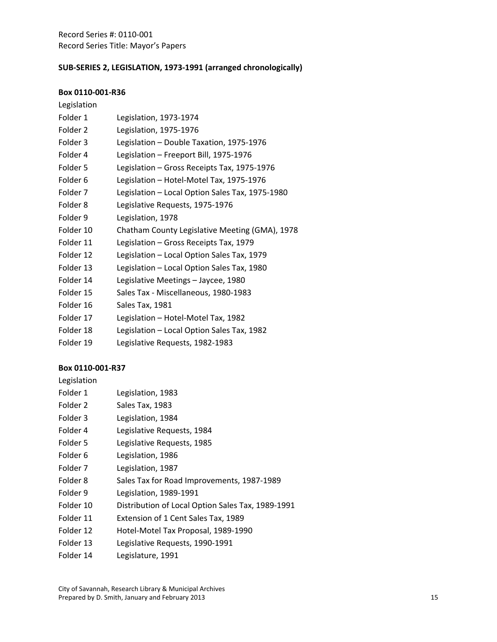## **SUB‐SERIES 2, LEGISLATION, 1973‐1991 (arranged chronologically)**

#### **Box 0110‐001‐R36**

## Legislation

| Folder 1            | Legislation, 1973-1974                          |
|---------------------|-------------------------------------------------|
| Folder <sub>2</sub> | Legislation, 1975-1976                          |
| Folder 3            | Legislation - Double Taxation, 1975-1976        |
| Folder 4            | Legislation - Freeport Bill, 1975-1976          |
| Folder 5            | Legislation - Gross Receipts Tax, 1975-1976     |
| Folder <sub>6</sub> | Legislation - Hotel-Motel Tax, 1975-1976        |
| Folder 7            | Legislation - Local Option Sales Tax, 1975-1980 |
| Folder 8            | Legislative Requests, 1975-1976                 |
| Folder 9            | Legislation, 1978                               |
| Folder 10           | Chatham County Legislative Meeting (GMA), 1978  |
| Folder 11           | Legislation - Gross Receipts Tax, 1979          |
| Folder 12           | Legislation - Local Option Sales Tax, 1979      |
| Folder 13           | Legislation - Local Option Sales Tax, 1980      |
| Folder 14           | Legislative Meetings - Jaycee, 1980             |
| Folder 15           | Sales Tax - Miscellaneous, 1980-1983            |
| Folder 16           | Sales Tax, 1981                                 |
| Folder 17           | Legislation - Hotel-Motel Tax, 1982             |
|                     |                                                 |

- Folder 18 Legislation Local Option Sales Tax, 1982
- Folder 19 Legislative Requests, 1982-1983

#### **Box 0110‐001‐R37**

Legislation

| Legislation, 1983<br>Folder 1 |  |
|-------------------------------|--|
|-------------------------------|--|

- Folder 2 Sales Tax, 1983
- Folder 3 Legislation, 1984
- Folder 4 Legislative Requests, 1984
- Folder 5 Legislative Requests, 1985
- Folder 6 Legislation, 1986
- Folder 7 Legislation, 1987
- Folder 8 Sales Tax for Road Improvements, 1987-1989
- Folder 9 Legislation, 1989-1991
- Folder 10 Distribution of Local Option Sales Tax, 1989-1991
- Folder 11 Extension of 1 Cent Sales Tax, 1989
- Folder 12 Hotel-Motel Tax Proposal, 1989-1990
- Folder 13 Legislative Requests, 1990-1991
- Folder 14 Legislature, 1991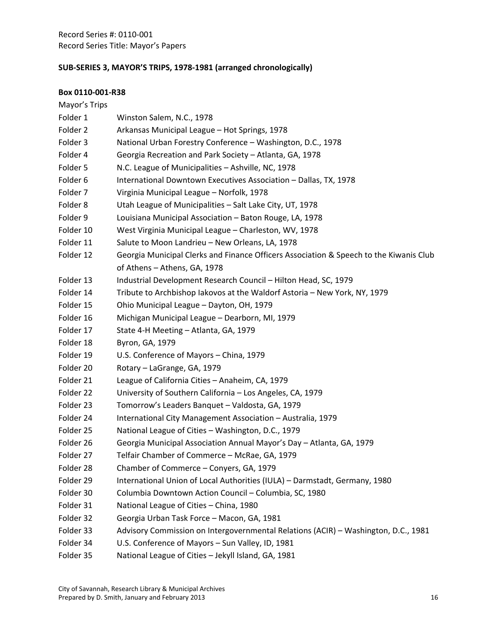# **SUB‐SERIES 3, MAYOR'S TRIPS, 1978‐1981 (arranged chronologically)**

| Mayor's Trips |                                                                                        |
|---------------|----------------------------------------------------------------------------------------|
| Folder 1      | Winston Salem, N.C., 1978                                                              |
| Folder 2      | Arkansas Municipal League - Hot Springs, 1978                                          |
| Folder 3      | National Urban Forestry Conference - Washington, D.C., 1978                            |
| Folder 4      | Georgia Recreation and Park Society - Atlanta, GA, 1978                                |
| Folder 5      | N.C. League of Municipalities - Ashville, NC, 1978                                     |
| Folder 6      | International Downtown Executives Association - Dallas, TX, 1978                       |
| Folder 7      | Virginia Municipal League - Norfolk, 1978                                              |
| Folder 8      | Utah League of Municipalities - Salt Lake City, UT, 1978                               |
| Folder 9      | Louisiana Municipal Association - Baton Rouge, LA, 1978                                |
| Folder 10     | West Virginia Municipal League - Charleston, WV, 1978                                  |
| Folder 11     | Salute to Moon Landrieu - New Orleans, LA, 1978                                        |
| Folder 12     | Georgia Municipal Clerks and Finance Officers Association & Speech to the Kiwanis Club |
|               | of Athens - Athens, GA, 1978                                                           |
| Folder 13     | Industrial Development Research Council - Hilton Head, SC, 1979                        |
| Folder 14     | Tribute to Archbishop lakovos at the Waldorf Astoria - New York, NY, 1979              |
| Folder 15     | Ohio Municipal League - Dayton, OH, 1979                                               |
| Folder 16     | Michigan Municipal League - Dearborn, MI, 1979                                         |
| Folder 17     | State 4-H Meeting - Atlanta, GA, 1979                                                  |
| Folder 18     | Byron, GA, 1979                                                                        |
| Folder 19     | U.S. Conference of Mayors - China, 1979                                                |
| Folder 20     | Rotary - LaGrange, GA, 1979                                                            |
| Folder 21     | League of California Cities - Anaheim, CA, 1979                                        |
| Folder 22     | University of Southern California - Los Angeles, CA, 1979                              |
| Folder 23     | Tomorrow's Leaders Banquet - Valdosta, GA, 1979                                        |
| Folder 24     | International City Management Association - Australia, 1979                            |
| Folder 25     | National League of Cities - Washington, D.C., 1979                                     |
| Folder 26     | Georgia Municipal Association Annual Mayor's Day - Atlanta, GA, 1979                   |
| Folder 27     | Telfair Chamber of Commerce - McRae, GA, 1979                                          |
| Folder 28     | Chamber of Commerce – Conyers, GA, 1979                                                |
| Folder 29     | International Union of Local Authorities (IULA) - Darmstadt, Germany, 1980             |
| Folder 30     | Columbia Downtown Action Council - Columbia, SC, 1980                                  |
| Folder 31     | National League of Cities - China, 1980                                                |
| Folder 32     | Georgia Urban Task Force - Macon, GA, 1981                                             |
| Folder 33     | Advisory Commission on Intergovernmental Relations (ACIR) - Washington, D.C., 1981     |
| Folder 34     | U.S. Conference of Mayors - Sun Valley, ID, 1981                                       |
| Folder 35     | National League of Cities - Jekyll Island, GA, 1981                                    |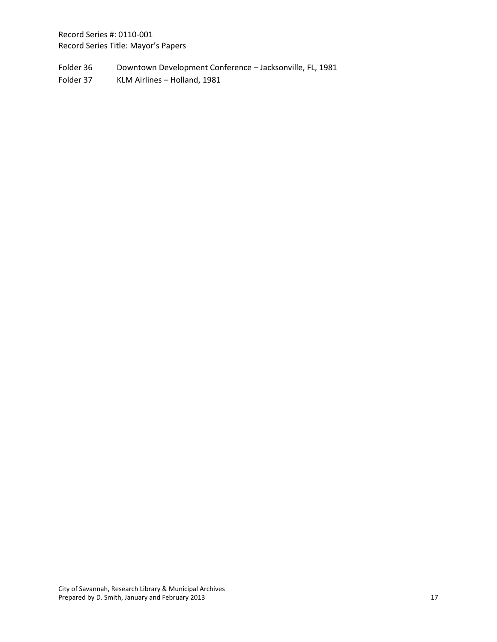Folder 36 Downtown Development Conference - Jacksonville, FL, 1981

Folder 37 KLM Airlines - Holland, 1981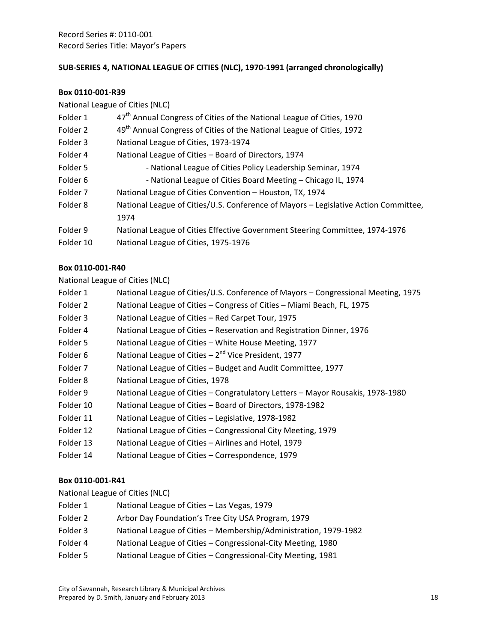## **SUB‐SERIES 4, NATIONAL LEAGUE OF CITIES (NLC), 1970‐1991 (arranged chronologically)**

#### **Box 0110‐001‐R39**

| National League of Cities (NLC) |                                                                                     |
|---------------------------------|-------------------------------------------------------------------------------------|
| Folder 1                        | 47 <sup>th</sup> Annual Congress of Cities of the National League of Cities, 1970   |
| Folder 2                        | 49 <sup>th</sup> Annual Congress of Cities of the National League of Cities, 1972   |
| Folder 3                        | National League of Cities, 1973-1974                                                |
| Folder 4                        | National League of Cities - Board of Directors, 1974                                |
| Folder 5                        | - National League of Cities Policy Leadership Seminar, 1974                         |
| Folder 6                        | - National League of Cities Board Meeting - Chicago IL, 1974                        |
| Folder 7                        | National League of Cities Convention - Houston, TX, 1974                            |
| Folder 8                        | National League of Cities/U.S. Conference of Mayors - Legislative Action Committee, |
|                                 | 1974                                                                                |
| Folder 9                        | National League of Cities Effective Government Steering Committee, 1974-1976        |
| Folder 10                       | National League of Cities, 1975-1976                                                |

## **Box 0110‐001‐R40**

#### National League of Cities (NLC)

- Folder 1 National League of Cities/U.S. Conference of Mayors Congressional Meeting, 1975
- Folder 2 National League of Cities Congress of Cities Miami Beach, FL, 1975
- Folder 3 National League of Cities Red Carpet Tour, 1975
- Folder 4 National League of Cities Reservation and Registration Dinner, 1976
- Folder 5 National League of Cities White House Meeting, 1977
- Folder 6 National League of Cities  $-2^{nd}$  Vice President, 1977
- Folder 7 National League of Cities Budget and Audit Committee, 1977
- Folder 8 National League of Cities, 1978
- Folder 9 National League of Cities Congratulatory Letters Mayor Rousakis, 1978‐1980
- Folder 10 National League of Cities Board of Directors, 1978-1982
- Folder 11 National League of Cities Legislative, 1978-1982
- Folder 12 National League of Cities Congressional City Meeting, 1979
- Folder 13 National League of Cities Airlines and Hotel, 1979
- Folder 14 National League of Cities Correspondence, 1979

# **Box 0110‐001‐R41**

National League of Cities (NLC)

- Folder 1 National League of Cities Las Vegas, 1979
- Folder 2 Arbor Day Foundation's Tree City USA Program, 1979
- Folder 3 National League of Cities Membership/Administration, 1979-1982
- Folder 4 National League of Cities Congressional-City Meeting, 1980
- Folder 5 National League of Cities Congressional-City Meeting, 1981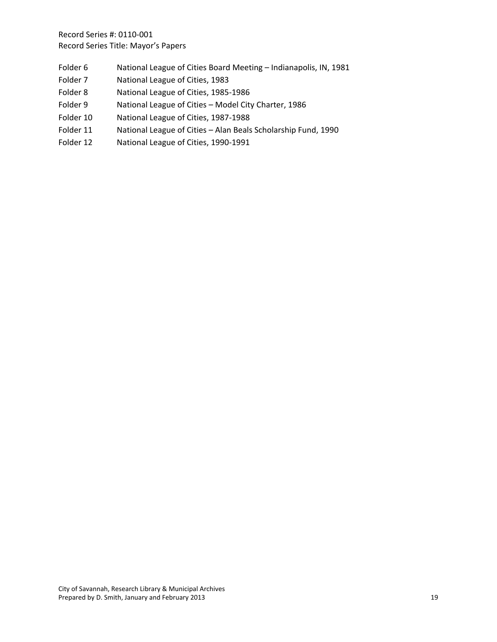- Folder 6 National League of Cities Board Meeting Indianapolis, IN, 1981
- Folder 7 National League of Cities, 1983
- Folder 8 National League of Cities, 1985-1986
- Folder 9 National League of Cities Model City Charter, 1986
- Folder 10 National League of Cities, 1987-1988
- Folder 11 National League of Cities Alan Beals Scholarship Fund, 1990
- Folder 12 National League of Cities, 1990-1991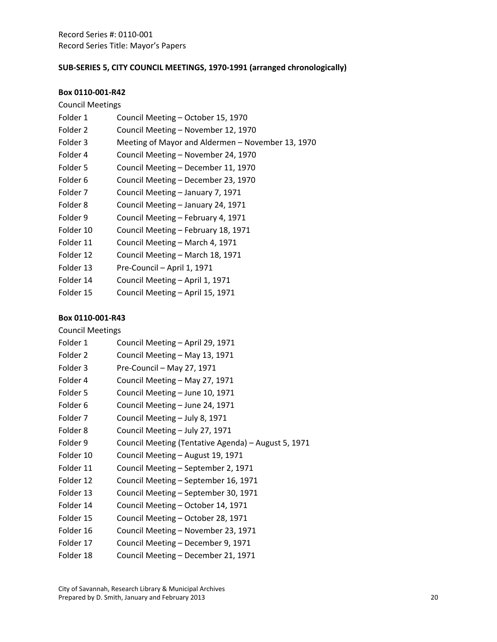# **SUB‐SERIES 5, CITY COUNCIL MEETINGS, 1970‐1991 (arranged chronologically)**

#### **Box 0110‐001‐R42**

| <b>Council Meetings</b> |                                                   |  |
|-------------------------|---------------------------------------------------|--|
| Folder 1                | Council Meeting - October 15, 1970                |  |
| Folder 2                | Council Meeting - November 12, 1970               |  |
| Folder 3                | Meeting of Mayor and Aldermen – November 13, 1970 |  |
| Folder 4                | Council Meeting - November 24, 1970               |  |
| Folder 5                | Council Meeting - December 11, 1970               |  |
| Folder <sub>6</sub>     | Council Meeting - December 23, 1970               |  |
| Folder 7                | Council Meeting – January 7, 1971                 |  |
| Folder 8                | Council Meeting - January 24, 1971                |  |
| Folder 9                | Council Meeting - February 4, 1971                |  |
| Folder 10               | Council Meeting - February 18, 1971               |  |
| Folder 11               | Council Meeting - March 4, 1971                   |  |
| Folder 12               | Council Meeting - March 18, 1971                  |  |
| Folder 13               | Pre-Council - April 1, 1971                       |  |
| Folder 14               | Council Meeting - April 1, 1971                   |  |
| Folder 15               | Council Meeting - April 15, 1971                  |  |

| <b>Council Meetings</b> |                                                     |  |
|-------------------------|-----------------------------------------------------|--|
| Folder 1                | Council Meeting - April 29, 1971                    |  |
| Folder <sub>2</sub>     | Council Meeting - May 13, 1971                      |  |
| Folder 3                | Pre-Council - May 27, 1971                          |  |
| Folder 4                | Council Meeting - May 27, 1971                      |  |
| Folder 5                | Council Meeting - June 10, 1971                     |  |
| Folder <sub>6</sub>     | Council Meeting - June 24, 1971                     |  |
| Folder 7                | Council Meeting - July 8, 1971                      |  |
| Folder <sub>8</sub>     | Council Meeting - July 27, 1971                     |  |
| Folder 9                | Council Meeting (Tentative Agenda) - August 5, 1971 |  |
| Folder 10               | Council Meeting - August 19, 1971                   |  |
| Folder 11               | Council Meeting – September 2, 1971                 |  |
| Folder 12               | Council Meeting - September 16, 1971                |  |
| Folder 13               | Council Meeting - September 30, 1971                |  |
| Folder 14               | Council Meeting - October 14, 1971                  |  |
| Folder 15               | Council Meeting - October 28, 1971                  |  |
| Folder 16               | Council Meeting - November 23, 1971                 |  |
| Folder 17               | Council Meeting - December 9, 1971                  |  |
| Folder 18               | Council Meeting - December 21, 1971                 |  |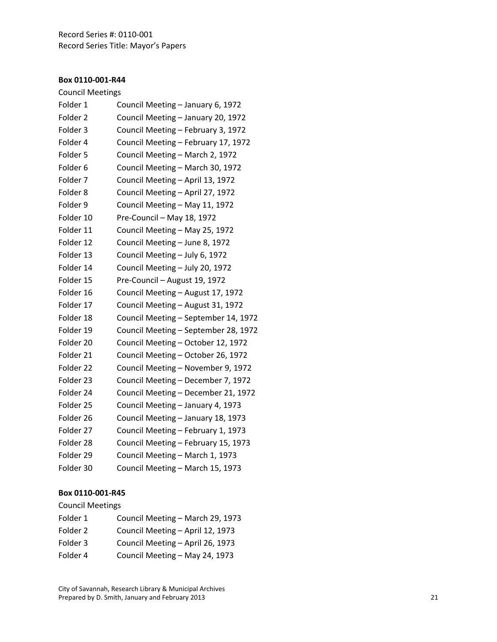#### **Box 0110 ‐001 ‐R44**

# Council Meetings

| Folder 1            | Council Meeting - January 6, 1972    |
|---------------------|--------------------------------------|
| Folder <sub>2</sub> | Council Meeting - January 20, 1972   |
| Folder 3            | Council Meeting - February 3, 1972   |
| Folder 4            | Council Meeting - February 17, 1972  |
| Folder 5            | Council Meeting - March 2, 1972      |
| Folder <sub>6</sub> | Council Meeting - March 30, 1972     |
| Folder <sub>7</sub> | Council Meeting - April 13, 1972     |
| Folder <sub>8</sub> | Council Meeting - April 27, 1972     |
| Folder 9            | Council Meeting - May 11, 1972       |
| Folder 10           | Pre-Council - May 18, 1972           |
| Folder 11           | Council Meeting - May 25, 1972       |
| Folder 12           | Council Meeting - June 8, 1972       |
| Folder 13           | Council Meeting - July 6, 1972       |
| Folder 14           | Council Meeting - July 20, 1972      |
| Folder 15           | Pre-Council - August 19, 1972        |
| Folder 16           | Council Meeting - August 17, 1972    |
| Folder 17           | Council Meeting - August 31, 1972    |
| Folder 18           | Council Meeting - September 14, 1972 |
| Folder 19           | Council Meeting - September 28, 1972 |
| Folder 20           | Council Meeting - October 12, 1972   |
| Folder 21           | Council Meeting - October 26, 1972   |
| Folder 22           | Council Meeting - November 9, 1972   |
| Folder 23           | Council Meeting - December 7, 1972   |
| Folder 24           | Council Meeting - December 21, 1972  |
| Folder 25           | Council Meeting - January 4, 1973    |
| Folder 26           | Council Meeting - January 18, 1973   |
| Folder 27           | Council Meeting - February 1, 1973   |
| Folder 28           | Council Meeting - February 15, 1973  |
| Folder 29           | Council Meeting - March 1, 1973      |
| Folder 30           | Council Meeting - March 15, 1973     |

#### **Box 0110 ‐001 ‐R45**

# Council Meetings

| Council Meeting - March 29, 1973 |
|----------------------------------|
| Council Meeting - April 12, 1973 |
| Council Meeting - April 26, 1973 |
| Council Meeting - May 24, 1973   |
|                                  |

City of Savannah, Research Library & Municipal Archives Prepared by D. Smith, January and February 2013 21 21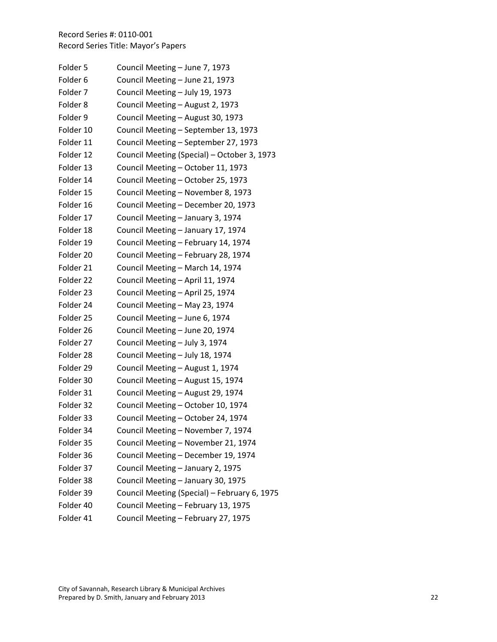| Council Meeting - September 13, 1973<br>Council Meeting - September 27, 1973<br>Council Meeting (Special) - October 3, 1973 |
|-----------------------------------------------------------------------------------------------------------------------------|
|                                                                                                                             |
|                                                                                                                             |
|                                                                                                                             |
|                                                                                                                             |
|                                                                                                                             |
|                                                                                                                             |
|                                                                                                                             |
|                                                                                                                             |
|                                                                                                                             |
| Council Meeting - November 8, 1973                                                                                          |
| Council Meeting - December 20, 1973                                                                                         |
|                                                                                                                             |
|                                                                                                                             |
| Council Meeting - February 14, 1974                                                                                         |
| Council Meeting - February 28, 1974                                                                                         |
|                                                                                                                             |
|                                                                                                                             |
|                                                                                                                             |
|                                                                                                                             |
|                                                                                                                             |
|                                                                                                                             |
|                                                                                                                             |
|                                                                                                                             |
|                                                                                                                             |
|                                                                                                                             |
|                                                                                                                             |
|                                                                                                                             |
|                                                                                                                             |
| Council Meeting - November 7, 1974                                                                                          |
| Council Meeting - November 21, 1974                                                                                         |
| Council Meeting - December 19, 1974                                                                                         |
|                                                                                                                             |
|                                                                                                                             |
| Council Meeting (Special) - February 6, 1975                                                                                |
| Council Meeting - February 13, 1975                                                                                         |
| Council Meeting - February 27, 1975                                                                                         |
|                                                                                                                             |

City of Savannah, Research Library & Municipal Archives Prepared by D. Smith, January and February 2013  **22** and 2014 **120 and 22** and 22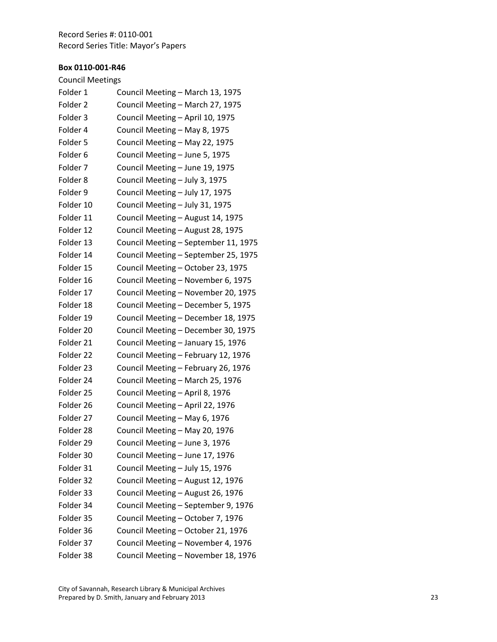#### **Box 0110 ‐001 ‐R46**

# Council Meetings

| Folder 1            | Council Meeting - March 13, 1975     |
|---------------------|--------------------------------------|
| Folder 2            | Council Meeting - March 27, 1975     |
| Folder 3            | Council Meeting - April 10, 1975     |
| Folder 4            | Council Meeting - May 8, 1975        |
| Folder 5            | Council Meeting - May 22, 1975       |
| Folder <sub>6</sub> | Council Meeting - June 5, 1975       |
| Folder <sub>7</sub> | Council Meeting - June 19, 1975      |
| Folder <sub>8</sub> | Council Meeting - July 3, 1975       |
| Folder 9            | Council Meeting - July 17, 1975      |
| Folder 10           | Council Meeting - July 31, 1975      |
| Folder 11           | Council Meeting - August 14, 1975    |
| Folder 12           | Council Meeting - August 28, 1975    |
| Folder 13           | Council Meeting - September 11, 1975 |
| Folder 14           | Council Meeting - September 25, 1975 |
| Folder 15           | Council Meeting - October 23, 1975   |
| Folder 16           | Council Meeting - November 6, 1975   |
| Folder 17           | Council Meeting - November 20, 1975  |
| Folder 18           | Council Meeting - December 5, 1975   |
| Folder 19           | Council Meeting - December 18, 1975  |
| Folder 20           | Council Meeting - December 30, 1975  |
| Folder 21           | Council Meeting - January 15, 1976   |
| Folder 22           | Council Meeting - February 12, 1976  |
| Folder 23           | Council Meeting - February 26, 1976  |
| Folder 24           | Council Meeting - March 25, 1976     |
| Folder 25           | Council Meeting - April 8, 1976      |
| Folder 26           | Council Meeting - April 22, 1976     |
| Folder 27           | Council Meeting - May 6, 1976        |
| Folder 28           | Council Meeting - May 20, 1976       |
| Folder 29           | Council Meeting - June 3, 1976       |
| Folder 30           | Council Meeting - June 17, 1976      |
| Folder 31           | Council Meeting - July 15, 1976      |
| Folder 32           | Council Meeting - August 12, 1976    |
| Folder 33           | Council Meeting - August 26, 1976    |
| Folder 34           | Council Meeting - September 9, 1976  |
| Folder 35           | Council Meeting - October 7, 1976    |
| Folder 36           | Council Meeting - October 21, 1976   |
| Folder 37           | Council Meeting - November 4, 1976   |
| Folder 38           | Council Meeting - November 18, 1976  |
|                     |                                      |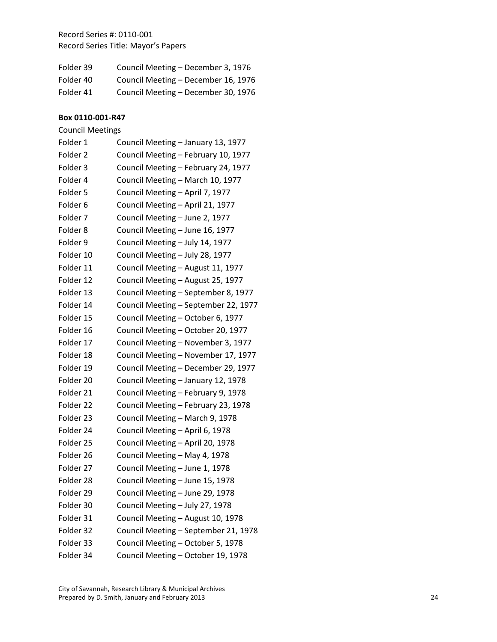| Folder 39 | Council Meeting - December 3, 1976  |
|-----------|-------------------------------------|
| Folder 40 | Council Meeting - December 16, 1976 |
| Folder 41 | Council Meeting - December 30, 1976 |

| <b>Council Meetings</b> |                                      |
|-------------------------|--------------------------------------|
| Folder 1                | Council Meeting - January 13, 1977   |
| Folder <sub>2</sub>     | Council Meeting - February 10, 1977  |
| Folder <sub>3</sub>     | Council Meeting - February 24, 1977  |
| Folder 4                | Council Meeting - March 10, 1977     |
| Folder 5                | Council Meeting - April 7, 1977      |
| Folder <sub>6</sub>     | Council Meeting - April 21, 1977     |
| Folder 7                | Council Meeting - June 2, 1977       |
| Folder <sub>8</sub>     | Council Meeting - June 16, 1977      |
| Folder 9                | Council Meeting - July 14, 1977      |
| Folder 10               | Council Meeting - July 28, 1977      |
| Folder 11               | Council Meeting - August 11, 1977    |
| Folder 12               | Council Meeting - August 25, 1977    |
| Folder 13               | Council Meeting - September 8, 1977  |
| Folder 14               | Council Meeting - September 22, 1977 |
| Folder 15               | Council Meeting - October 6, 1977    |
| Folder 16               | Council Meeting - October 20, 1977   |
| Folder 17               | Council Meeting - November 3, 1977   |
| Folder 18               | Council Meeting - November 17, 1977  |
| Folder 19               | Council Meeting - December 29, 1977  |
| Folder 20               | Council Meeting - January 12, 1978   |
| Folder 21               | Council Meeting - February 9, 1978   |
| Folder 22               | Council Meeting - February 23, 1978  |
| Folder 23               | Council Meeting - March 9, 1978      |
| Folder 24               | Council Meeting - April 6, 1978      |
| Folder 25               | Council Meeting - April 20, 1978     |
| Folder 26               | Council Meeting - May 4, 1978        |
| Folder 27               | Council Meeting - June 1, 1978       |
| Folder 28               | Council Meeting - June 15, 1978      |
| Folder 29               | Council Meeting – June 29, 1978      |
| Folder 30               | Council Meeting - July 27, 1978      |
| Folder 31               | Council Meeting - August 10, 1978    |
| Folder 32               | Council Meeting - September 21, 1978 |
| Folder 33               | Council Meeting - October 5, 1978    |
| Folder 34               | Council Meeting - October 19, 1978   |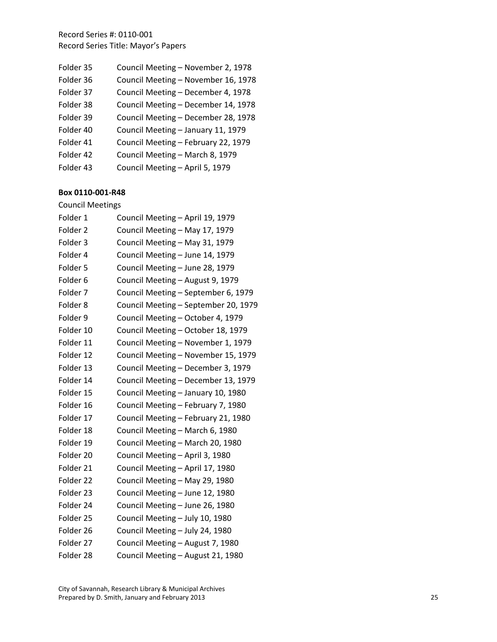| Folder 35 | Council Meeting - November 2, 1978  |
|-----------|-------------------------------------|
| Folder 36 | Council Meeting - November 16, 1978 |
| Folder 37 | Council Meeting - December 4, 1978  |
| Folder 38 | Council Meeting - December 14, 1978 |
| Folder 39 | Council Meeting - December 28, 1978 |
| Folder 40 | Council Meeting - January 11, 1979  |
| Folder 41 | Council Meeting - February 22, 1979 |
| Folder 42 | Council Meeting - March 8, 1979     |
| Folder 43 | Council Meeting - April 5, 1979     |

#### **Box 0110 ‐001 ‐R48**

# Council Meetings

| Folder 1            | Council Meeting - April 19, 1979     |
|---------------------|--------------------------------------|
| Folder 2            | Council Meeting - May 17, 1979       |
| Folder 3            | Council Meeting - May 31, 1979       |
| Folder 4            | Council Meeting - June 14, 1979      |
| Folder 5            | Council Meeting - June 28, 1979      |
| Folder <sub>6</sub> | Council Meeting - August 9, 1979     |
| Folder 7            | Council Meeting - September 6, 1979  |
| Folder <sub>8</sub> | Council Meeting - September 20, 1979 |
| Folder 9            | Council Meeting - October 4, 1979    |
| Folder 10           | Council Meeting - October 18, 1979   |
| Folder 11           | Council Meeting - November 1, 1979   |
| Folder 12           | Council Meeting - November 15, 1979  |
| Folder 13           | Council Meeting - December 3, 1979   |
| Folder 14           | Council Meeting - December 13, 1979  |
| Folder 15           | Council Meeting - January 10, 1980   |
| Folder 16           | Council Meeting - February 7, 1980   |
| Folder 17           | Council Meeting - February 21, 1980  |
| Folder 18           | Council Meeting - March 6, 1980      |
| Folder 19           | Council Meeting - March 20, 1980     |
| Folder 20           | Council Meeting - April 3, 1980      |
| Folder 21           | Council Meeting - April 17, 1980     |
| Folder 22           | Council Meeting - May 29, 1980       |
| Folder 23           | Council Meeting - June 12, 1980      |
| Folder 24           | Council Meeting - June 26, 1980      |
| Folder 25           | Council Meeting - July 10, 1980      |
| Folder 26           | Council Meeting - July 24, 1980      |
| Folder 27           | Council Meeting - August 7, 1980     |
| Folder 28           | Council Meeting - August 21, 1980    |
|                     |                                      |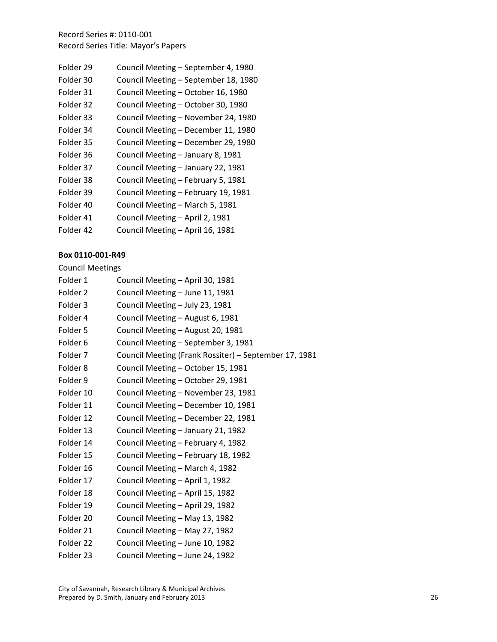| Folder 29 | Council Meeting - September 4, 1980  |
|-----------|--------------------------------------|
| Folder 30 | Council Meeting - September 18, 1980 |
| Folder 31 | Council Meeting - October 16, 1980   |
| Folder 32 | Council Meeting - October 30, 1980   |
| Folder 33 | Council Meeting - November 24, 1980  |
| Folder 34 | Council Meeting - December 11, 1980  |
| Folder 35 | Council Meeting - December 29, 1980  |
| Folder 36 | Council Meeting - January 8, 1981    |
| Folder 37 | Council Meeting - January 22, 1981   |
| Folder 38 | Council Meeting - February 5, 1981   |
| Folder 39 | Council Meeting - February 19, 1981  |
| Folder 40 | Council Meeting - March 5, 1981      |
| Folder 41 | Council Meeting - April 2, 1981      |
| Folder 42 | Council Meeting - April 16, 1981     |
|           |                                      |

## **Box 0110‐001‐R49**

Council Meetings

| Folder 1            | Council Meeting - April 30, 1981                      |
|---------------------|-------------------------------------------------------|
| Folder <sub>2</sub> | Council Meeting - June 11, 1981                       |
| Folder 3            | Council Meeting - July 23, 1981                       |
| Folder 4            | Council Meeting - August 6, 1981                      |
| Folder 5            | Council Meeting - August 20, 1981                     |
| Folder <sub>6</sub> | Council Meeting - September 3, 1981                   |
| Folder 7            | Council Meeting (Frank Rossiter) - September 17, 1981 |
| Folder <sub>8</sub> | Council Meeting - October 15, 1981                    |
| Folder 9            | Council Meeting - October 29, 1981                    |
| Folder 10           | Council Meeting - November 23, 1981                   |
| Folder 11           | Council Meeting - December 10, 1981                   |
| Folder 12           | Council Meeting - December 22, 1981                   |
| Folder 13           | Council Meeting - January 21, 1982                    |
| Folder 14           | Council Meeting - February 4, 1982                    |
| Folder 15           | Council Meeting - February 18, 1982                   |
| Folder 16           | Council Meeting - March 4, 1982                       |
| Folder 17           | Council Meeting - April 1, 1982                       |
| Folder 18           | Council Meeting - April 15, 1982                      |
| Folder 19           | Council Meeting - April 29, 1982                      |
| Folder 20           | Council Meeting - May 13, 1982                        |
| Folder 21           | Council Meeting - May 27, 1982                        |
| Folder 22           | Council Meeting - June 10, 1982                       |
| Folder 23           | Council Meeting - June 24, 1982                       |
|                     |                                                       |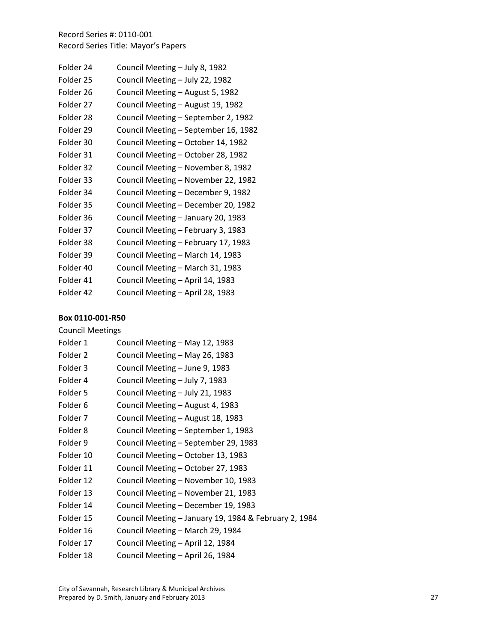| Folder 24 | Council Meeting - July 8, 1982       |
|-----------|--------------------------------------|
| Folder 25 | Council Meeting - July 22, 1982      |
| Folder 26 | Council Meeting - August 5, 1982     |
| Folder 27 | Council Meeting - August 19, 1982    |
| Folder 28 | Council Meeting - September 2, 1982  |
| Folder 29 | Council Meeting - September 16, 1982 |
| Folder 30 | Council Meeting - October 14, 1982   |
| Folder 31 | Council Meeting - October 28, 1982   |
| Folder 32 | Council Meeting - November 8, 1982   |
| Folder 33 | Council Meeting - November 22, 1982  |
| Folder 34 | Council Meeting - December 9, 1982   |
| Folder 35 | Council Meeting - December 20, 1982  |
| Folder 36 | Council Meeting - January 20, 1983   |
| Folder 37 | Council Meeting - February 3, 1983   |
| Folder 38 | Council Meeting - February 17, 1983  |
| Folder 39 | Council Meeting - March 14, 1983     |
| Folder 40 | Council Meeting - March 31, 1983     |
| Folder 41 | Council Meeting - April 14, 1983     |
| Folder 42 | Council Meeting - April 28, 1983     |

### **Box 0110‐001‐R50**

Council Meetings

| Folder 1  | Council Meeting - May 12, 1983                        |
|-----------|-------------------------------------------------------|
| Folder 2  | Council Meeting - May 26, 1983                        |
| Folder 3  | Council Meeting - June 9, 1983                        |
| Folder 4  | Council Meeting - July 7, 1983                        |
| Folder 5  | Council Meeting - July 21, 1983                       |
| Folder 6  | Council Meeting - August 4, 1983                      |
| Folder 7  | Council Meeting - August 18, 1983                     |
| Folder 8  | Council Meeting – September 1, 1983                   |
| Folder 9  | Council Meeting - September 29, 1983                  |
| Folder 10 | Council Meeting - October 13, 1983                    |
| Folder 11 | Council Meeting - October 27, 1983                    |
| Folder 12 | Council Meeting - November 10, 1983                   |
| Folder 13 | Council Meeting - November 21, 1983                   |
| Folder 14 | Council Meeting - December 19, 1983                   |
| Folder 15 | Council Meeting - January 19, 1984 & February 2, 1984 |
| Folder 16 | Council Meeting - March 29, 1984                      |
| Folder 17 | Council Meeting - April 12, 1984                      |
| Folder 18 | Council Meeting - April 26, 1984                      |

City of Savannah, Research Library & Municipal Archives Prepared by D. Smith, January and February 2013 27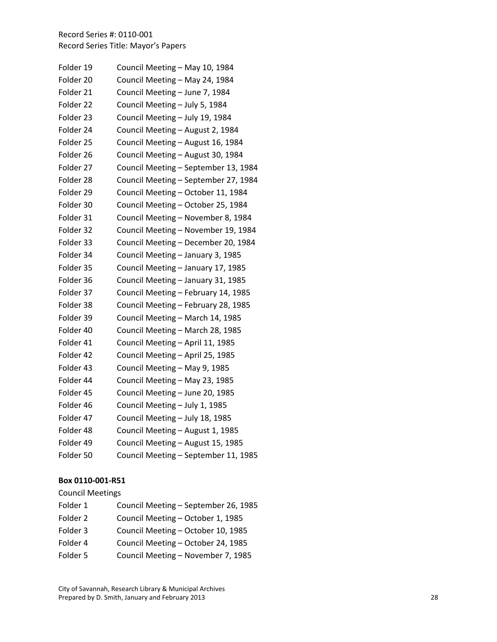| Folder 19 | Council Meeting - May 10, 1984       |
|-----------|--------------------------------------|
| Folder 20 | Council Meeting - May 24, 1984       |
| Folder 21 | Council Meeting - June 7, 1984       |
| Folder 22 | Council Meeting - July 5, 1984       |
| Folder 23 | Council Meeting - July 19, 1984      |
| Folder 24 | Council Meeting - August 2, 1984     |
| Folder 25 | Council Meeting - August 16, 1984    |
| Folder 26 | Council Meeting - August 30, 1984    |
| Folder 27 | Council Meeting - September 13, 1984 |
| Folder 28 | Council Meeting - September 27, 1984 |
| Folder 29 | Council Meeting - October 11, 1984   |
| Folder 30 | Council Meeting - October 25, 1984   |
| Folder 31 | Council Meeting - November 8, 1984   |
| Folder 32 | Council Meeting - November 19, 1984  |
| Folder 33 | Council Meeting - December 20, 1984  |
| Folder 34 | Council Meeting - January 3, 1985    |
| Folder 35 | Council Meeting - January 17, 1985   |
| Folder 36 | Council Meeting - January 31, 1985   |
| Folder 37 | Council Meeting - February 14, 1985  |
| Folder 38 | Council Meeting - February 28, 1985  |
| Folder 39 | Council Meeting - March 14, 1985     |
| Folder 40 | Council Meeting - March 28, 1985     |
| Folder 41 | Council Meeting - April 11, 1985     |
| Folder 42 | Council Meeting - April 25, 1985     |
| Folder 43 | Council Meeting - May 9, 1985        |
| Folder 44 | Council Meeting - May 23, 1985       |
| Folder 45 | Council Meeting - June 20, 1985      |
| Folder 46 | Council Meeting - July 1, 1985       |
| Folder 47 | Council Meeting - July 18, 1985      |
| Folder 48 | Council Meeting - August 1, 1985     |
| Folder 49 | Council Meeting - August 15, 1985    |
| Folder 50 | Council Meeting - September 11, 1985 |

#### **Box 0110 ‐001 ‐R51**

# Council Meetings

| Folder 1 | Council Meeting - September 26, 1985 |
|----------|--------------------------------------|
| Folder 2 | Council Meeting - October 1, 1985    |
| Folder 3 | Council Meeting - October 10, 1985   |
| Folder 4 | Council Meeting - October 24, 1985   |
| Folder 5 | Council Meeting - November 7, 1985   |
|          |                                      |

City of Savannah, Research Library & Municipal Archives Prepared by D. Smith, January and February 2013 28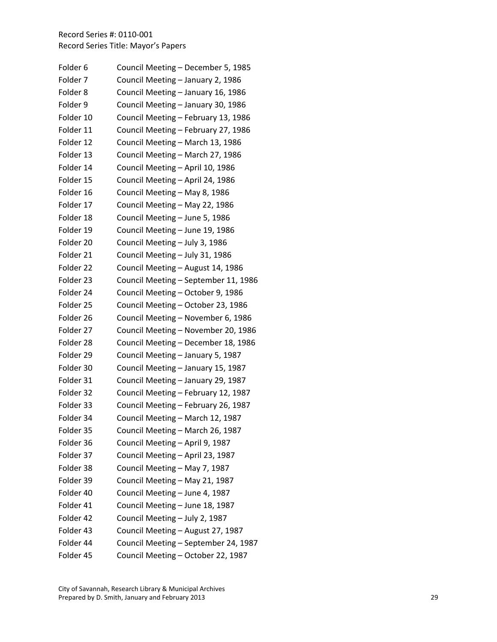| Folder <sub>6</sub> | Council Meeting - December 5, 1985   |
|---------------------|--------------------------------------|
| Folder 7            | Council Meeting - January 2, 1986    |
| Folder <sub>8</sub> | Council Meeting - January 16, 1986   |
| Folder 9            | Council Meeting - January 30, 1986   |
| Folder 10           | Council Meeting - February 13, 1986  |
| Folder 11           | Council Meeting - February 27, 1986  |
| Folder 12           | Council Meeting - March 13, 1986     |
| Folder 13           | Council Meeting - March 27, 1986     |
| Folder 14           | Council Meeting - April 10, 1986     |
| Folder 15           | Council Meeting - April 24, 1986     |
| Folder 16           | Council Meeting - May 8, 1986        |
| Folder 17           | Council Meeting - May 22, 1986       |
| Folder 18           | Council Meeting - June 5, 1986       |
| Folder 19           | Council Meeting - June 19, 1986      |
| Folder 20           | Council Meeting - July 3, 1986       |
| Folder 21           | Council Meeting - July 31, 1986      |
| Folder 22           | Council Meeting - August 14, 1986    |
| Folder 23           | Council Meeting - September 11, 1986 |
| Folder 24           | Council Meeting - October 9, 1986    |
| Folder 25           | Council Meeting - October 23, 1986   |
| Folder 26           | Council Meeting - November 6, 1986   |
| Folder 27           | Council Meeting - November 20, 1986  |
| Folder 28           | Council Meeting - December 18, 1986  |
| Folder 29           | Council Meeting - January 5, 1987    |
| Folder 30           | Council Meeting - January 15, 1987   |
| Folder 31           | Council Meeting - January 29, 1987   |
| Folder 32           | Council Meeting - February 12, 1987  |
| Folder 33           | Council Meeting - February 26, 1987  |
| Folder 34           | Council Meeting - March 12, 1987     |
| Folder 35           | Council Meeting – March 26, 1987     |
| Folder 36           | Council Meeting - April 9, 1987      |
| Folder 37           | Council Meeting - April 23, 1987     |
| Folder 38           | Council Meeting - May 7, 1987        |
| Folder 39           | Council Meeting - May 21, 1987       |
| Folder 40           | Council Meeting - June 4, 1987       |
| Folder 41           | Council Meeting - June 18, 1987      |
| Folder 42           | Council Meeting - July 2, 1987       |
| Folder 43           | Council Meeting - August 27, 1987    |
| Folder 44           | Council Meeting - September 24, 1987 |
| Folder 45           | Council Meeting - October 22, 1987   |

City of Savannah, Research Library & Municipal Archives Prepared by D. Smith, January and February 2013 20 2014 29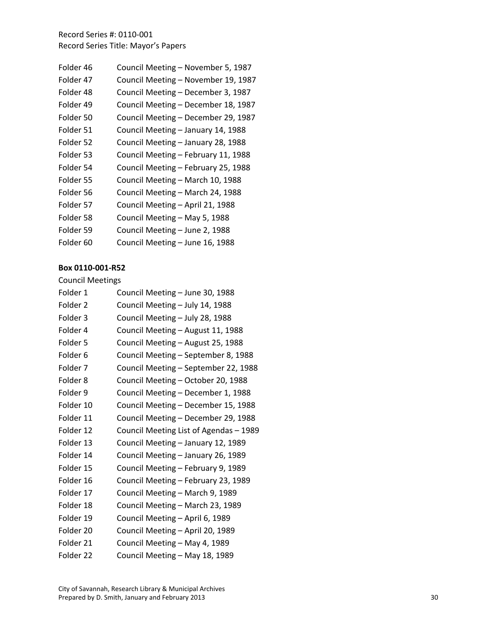| Folder 46 | Council Meeting - November 5, 1987  |
|-----------|-------------------------------------|
| Folder 47 | Council Meeting - November 19, 1987 |
| Folder 48 | Council Meeting - December 3, 1987  |
| Folder 49 | Council Meeting - December 18, 1987 |
| Folder 50 | Council Meeting - December 29, 1987 |
| Folder 51 | Council Meeting - January 14, 1988  |
| Folder 52 | Council Meeting - January 28, 1988  |
| Folder 53 | Council Meeting - February 11, 1988 |
| Folder 54 | Council Meeting - February 25, 1988 |
| Folder 55 | Council Meeting - March 10, 1988    |
| Folder 56 | Council Meeting - March 24, 1988    |
| Folder 57 | Council Meeting - April 21, 1988    |
| Folder 58 | Council Meeting - May 5, 1988       |
| Folder 59 | Council Meeting - June 2, 1988      |
| Folder 60 | Council Meeting - June 16, 1988     |
|           |                                     |

#### **Box 0110 ‐001 ‐R52**

# Council Meetings

| Folder 1            | Council Meeting - June 30, 1988        |
|---------------------|----------------------------------------|
| Folder <sub>2</sub> | Council Meeting - July 14, 1988        |
| Folder 3            | Council Meeting - July 28, 1988        |
| Folder 4            | Council Meeting - August 11, 1988      |
| Folder 5            | Council Meeting - August 25, 1988      |
| Folder <sub>6</sub> | Council Meeting - September 8, 1988    |
| Folder <sub>7</sub> | Council Meeting - September 22, 1988   |
| Folder <sub>8</sub> | Council Meeting - October 20, 1988     |
| Folder 9            | Council Meeting - December 1, 1988     |
| Folder 10           | Council Meeting - December 15, 1988    |
| Folder 11           | Council Meeting - December 29, 1988    |
| Folder 12           | Council Meeting List of Agendas - 1989 |
| Folder 13           | Council Meeting - January 12, 1989     |
| Folder 14           | Council Meeting - January 26, 1989     |
| Folder 15           | Council Meeting - February 9, 1989     |
| Folder 16           | Council Meeting - February 23, 1989    |
| Folder 17           | Council Meeting - March 9, 1989        |
| Folder 18           | Council Meeting - March 23, 1989       |
| Folder 19           | Council Meeting - April 6, 1989        |
| Folder 20           | Council Meeting - April 20, 1989       |
| Folder 21           | Council Meeting - May 4, 1989          |
| Folder 22           | Council Meeting - May 18, 1989         |
|                     |                                        |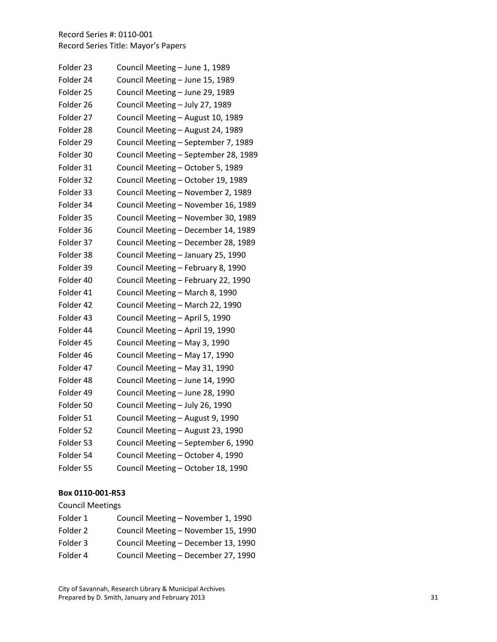| Folder 23 | Council Meeting - June 1, 1989       |
|-----------|--------------------------------------|
| Folder 24 | Council Meeting - June 15, 1989      |
| Folder 25 | Council Meeting - June 29, 1989      |
| Folder 26 | Council Meeting - July 27, 1989      |
| Folder 27 | Council Meeting - August 10, 1989    |
| Folder 28 | Council Meeting - August 24, 1989    |
| Folder 29 | Council Meeting - September 7, 1989  |
| Folder 30 | Council Meeting - September 28, 1989 |
| Folder 31 | Council Meeting - October 5, 1989    |
| Folder 32 | Council Meeting - October 19, 1989   |
| Folder 33 | Council Meeting - November 2, 1989   |
| Folder 34 | Council Meeting - November 16, 1989  |
| Folder 35 | Council Meeting - November 30, 1989  |
| Folder 36 | Council Meeting - December 14, 1989  |
| Folder 37 | Council Meeting - December 28, 1989  |
| Folder 38 | Council Meeting - January 25, 1990   |
| Folder 39 | Council Meeting - February 8, 1990   |
| Folder 40 | Council Meeting - February 22, 1990  |
| Folder 41 | Council Meeting - March 8, 1990      |
| Folder 42 | Council Meeting - March 22, 1990     |
| Folder 43 | Council Meeting - April 5, 1990      |
| Folder 44 | Council Meeting - April 19, 1990     |
| Folder 45 | Council Meeting - May 3, 1990        |
| Folder 46 | Council Meeting - May 17, 1990       |
| Folder 47 | Council Meeting - May 31, 1990       |
| Folder 48 | Council Meeting - June 14, 1990      |
| Folder 49 | Council Meeting - June 28, 1990      |
| Folder 50 | Council Meeting - July 26, 1990      |
| Folder 51 | Council Meeting - August 9, 1990     |
| Folder 52 | Council Meeting - August 23, 1990    |
| Folder 53 | Council Meeting - September 6, 1990  |
| Folder 54 | Council Meeting - October 4, 1990    |
| Folder 55 | Council Meeting - October 18, 1990   |

#### **Box 0110 ‐001 ‐R53**

# Council Meetings

| Council Meeting - November 1, 1990  |
|-------------------------------------|
| Council Meeting - November 15, 1990 |
| Council Meeting - December 13, 1990 |
| Council Meeting - December 27, 1990 |
|                                     |

City of Savannah, Research Library & Municipal Archives Prepared by D. Smith, January and February 2013 31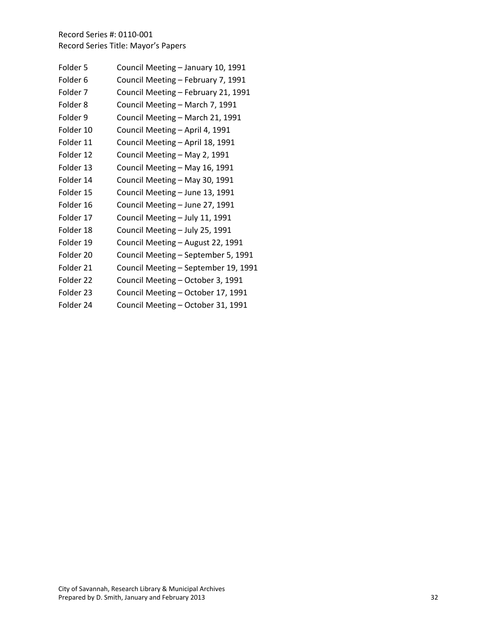| Folder 5            | Council Meeting - January 10, 1991   |
|---------------------|--------------------------------------|
| Folder <sub>6</sub> | Council Meeting - February 7, 1991   |
| Folder <sub>7</sub> | Council Meeting - February 21, 1991  |
| Folder <sub>8</sub> | Council Meeting - March 7, 1991      |
| Folder 9            | Council Meeting - March 21, 1991     |
| Folder 10           | Council Meeting - April 4, 1991      |
| Folder 11           | Council Meeting - April 18, 1991     |
| Folder 12           | Council Meeting - May 2, 1991        |
| Folder 13           | Council Meeting - May 16, 1991       |
| Folder 14           | Council Meeting - May 30, 1991       |
| Folder 15           | Council Meeting - June 13, 1991      |
| Folder 16           | Council Meeting - June 27, 1991      |
| Folder 17           | Council Meeting - July 11, 1991      |
| Folder 18           | Council Meeting - July 25, 1991      |
| Folder 19           | Council Meeting - August 22, 1991    |
| Folder 20           | Council Meeting - September 5, 1991  |
| Folder 21           | Council Meeting - September 19, 1991 |
| Folder 22           | Council Meeting - October 3, 1991    |
| Folder 23           | Council Meeting - October 17, 1991   |
| Folder 24           | Council Meeting - October 31, 1991   |
|                     |                                      |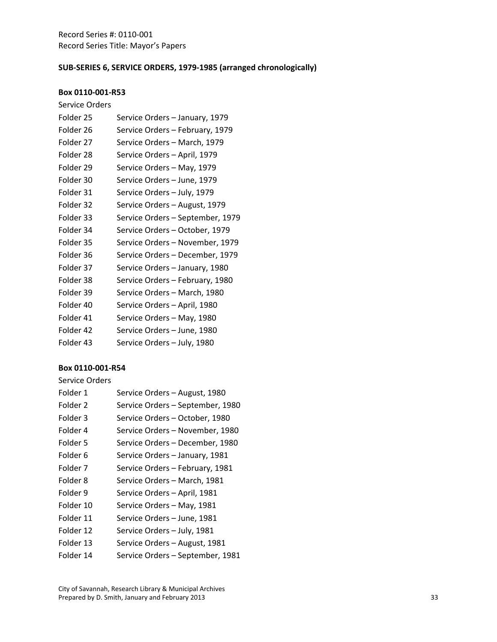# **SUB‐SERIES 6, SERVICE ORDERS, 1979‐1985 (arranged chronologically)**

### **Box 0110‐001‐R53**

| Service Orders |                                  |
|----------------|----------------------------------|
| Folder 25      | Service Orders - January, 1979   |
| Folder 26      | Service Orders - February, 1979  |
| Folder 27      | Service Orders - March, 1979     |
| Folder 28      | Service Orders - April, 1979     |
| Folder 29      | Service Orders - May, 1979       |
| Folder 30      | Service Orders - June, 1979      |
| Folder 31      | Service Orders - July, 1979      |
| Folder 32      | Service Orders - August, 1979    |
| Folder 33      | Service Orders - September, 1979 |
| Folder 34      | Service Orders - October, 1979   |
| Folder 35      | Service Orders – November, 1979  |
| Folder 36      | Service Orders – December, 1979  |
| Folder 37      | Service Orders - January, 1980   |
| Folder 38      | Service Orders - February, 1980  |
| Folder 39      | Service Orders - March, 1980     |
| Folder 40      | Service Orders - April, 1980     |
| Folder 41      | Service Orders - May, 1980       |
| Folder 42      | Service Orders - June, 1980      |
| Folder 43      | Service Orders - July, 1980      |
|                |                                  |

|  | Service Orders |  |
|--|----------------|--|
|--|----------------|--|

| Folder 1            | Service Orders - August, 1980    |
|---------------------|----------------------------------|
| Folder 2            | Service Orders - September, 1980 |
| Folder 3            | Service Orders - October, 1980   |
| Folder 4            | Service Orders - November, 1980  |
| Folder 5            | Service Orders - December, 1980  |
| Folder <sub>6</sub> | Service Orders - January, 1981   |
| Folder 7            | Service Orders - February, 1981  |
| Folder 8            | Service Orders - March, 1981     |
| Folder 9            | Service Orders - April, 1981     |
| Folder 10           | Service Orders - May, 1981       |
| Folder 11           | Service Orders - June, 1981      |
| Folder 12           | Service Orders - July, 1981      |
| Folder 13           | Service Orders - August, 1981    |
| Folder 14           | Service Orders - September, 1981 |
|                     |                                  |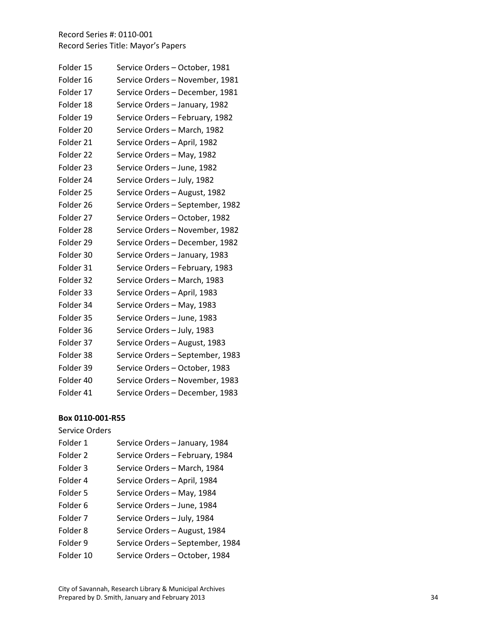| Folder 15 | Service Orders - October, 1981   |
|-----------|----------------------------------|
| Folder 16 | Service Orders - November, 1981  |
| Folder 17 | Service Orders - December, 1981  |
| Folder 18 | Service Orders - January, 1982   |
| Folder 19 | Service Orders - February, 1982  |
| Folder 20 | Service Orders - March, 1982     |
| Folder 21 | Service Orders - April, 1982     |
| Folder 22 | Service Orders - May, 1982       |
| Folder 23 | Service Orders - June, 1982      |
| Folder 24 | Service Orders - July, 1982      |
| Folder 25 | Service Orders - August, 1982    |
| Folder 26 | Service Orders - September, 1982 |
| Folder 27 | Service Orders - October, 1982   |
| Folder 28 | Service Orders - November, 1982  |
| Folder 29 | Service Orders - December, 1982  |
| Folder 30 | Service Orders - January, 1983   |
| Folder 31 | Service Orders - February, 1983  |
| Folder 32 | Service Orders - March, 1983     |
| Folder 33 | Service Orders - April, 1983     |
| Folder 34 | Service Orders - May, 1983       |
| Folder 35 | Service Orders - June, 1983      |
| Folder 36 | Service Orders - July, 1983      |
| Folder 37 | Service Orders - August, 1983    |
| Folder 38 | Service Orders - September, 1983 |
| Folder 39 | Service Orders - October, 1983   |
| Folder 40 | Service Orders - November, 1983  |
| Folder 41 | Service Orders - December, 1983  |

#### **Box 0110 ‐001 ‐R55**

Service Orders

| Folder 1  | Service Orders - January, 1984   |
|-----------|----------------------------------|
| Folder 2  | Service Orders - February, 1984  |
| Folder 3  | Service Orders - March, 1984     |
| Folder 4  | Service Orders - April, 1984     |
| Folder 5  | Service Orders - May, 1984       |
| Folder 6  | Service Orders - June, 1984      |
| Folder 7  | Service Orders - July, 1984      |
| Folder 8  | Service Orders - August, 1984    |
| Folder 9  | Service Orders - September, 1984 |
| Folder 10 | Service Orders - October, 1984   |
|           |                                  |

City of Savannah, Research Library & Municipal Archives Prepared by D. Smith, January and February 2013 34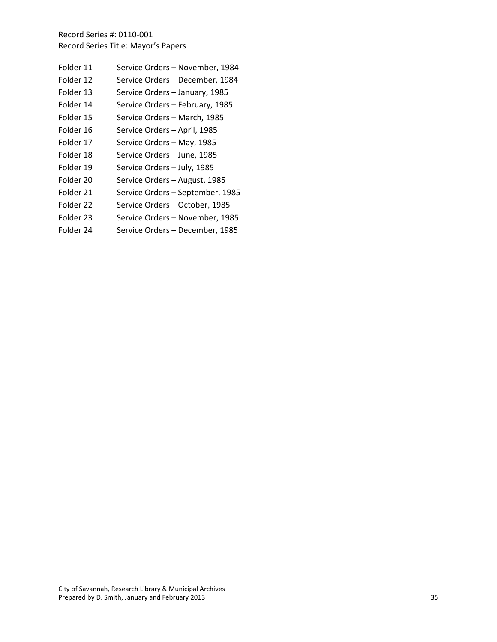| Folder 11 | Service Orders - November, 1984  |
|-----------|----------------------------------|
| Folder 12 | Service Orders - December, 1984  |
| Folder 13 | Service Orders - January, 1985   |
| Folder 14 | Service Orders - February, 1985  |
| Folder 15 | Service Orders - March, 1985     |
| Folder 16 | Service Orders - April, 1985     |
| Folder 17 | Service Orders - May, 1985       |
| Folder 18 | Service Orders - June, 1985      |
| Folder 19 | Service Orders - July, 1985      |
| Folder 20 | Service Orders - August, 1985    |
| Folder 21 | Service Orders - September, 1985 |
| Folder 22 | Service Orders - October, 1985   |
| Folder 23 | Service Orders - November, 1985  |
| Folder 24 | Service Orders - December, 1985  |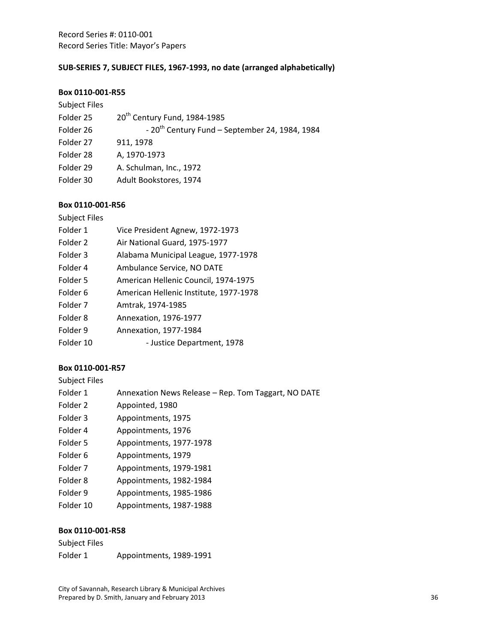# **SUB‐SERIES 7, SUBJECT FILES, 1967‐1993, no date (arranged alphabetically)**

#### **Box 0110‐001‐R55**

| 20 <sup>th</sup> Century Fund, 1984-1985         |
|--------------------------------------------------|
| - $20th$ Century Fund – September 24, 1984, 1984 |
| 911, 1978                                        |
| A, 1970-1973                                     |
| A. Schulman, Inc., 1972                          |
| Adult Bookstores, 1974                           |
|                                                  |

### **Box 0110‐001‐R56**

| <b>Subject Files</b> |                                        |
|----------------------|----------------------------------------|
| Folder 1             | Vice President Agnew, 1972-1973        |
| Folder 2             | Air National Guard, 1975-1977          |
| Folder 3             | Alabama Municipal League, 1977-1978    |
| Folder 4             | Ambulance Service, NO DATE             |
| Folder 5             | American Hellenic Council, 1974-1975   |
| Folder 6             | American Hellenic Institute, 1977-1978 |
| Folder <sub>7</sub>  | Amtrak, 1974-1985                      |
| Folder 8             | Annexation, 1976-1977                  |
| Folder 9             | Annexation, 1977-1984                  |
| Folder 10            | - Justice Department, 1978             |

### **Box 0110‐001‐R57**

| <b>Subject Files</b>    |                                                     |
|-------------------------|-----------------------------------------------------|
| Folder 1                | Annexation News Release - Rep. Tom Taggart, NO DATE |
| Folder 2                | Appointed, 1980                                     |
| Folder 3                | Appointments, 1975                                  |
| Folder 4                | Appointments, 1976                                  |
| Folder 5                | Appointments, 1977-1978                             |
| Folder 6                | Appointments, 1979                                  |
| Folder <sub>7</sub>     | Appointments, 1979-1981                             |
| Folder 8                | Appointments, 1982-1984                             |
| Folder 9                | Appointments, 1985-1986                             |
| Folder 10               | Appointments, 1987-1988                             |
|                         |                                                     |
| <b>DAY 0110 001 DEO</b> |                                                     |

| Subject Files |                         |  |
|---------------|-------------------------|--|
| Folder 1      | Appointments, 1989-1991 |  |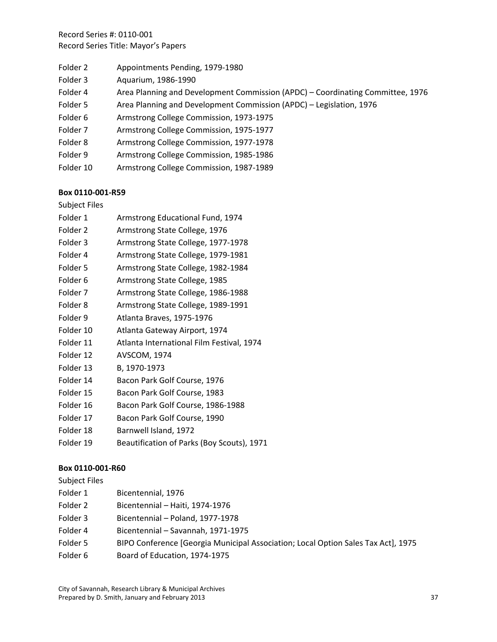| Folder 2  | Appointments Pending, 1979-1980                                                |
|-----------|--------------------------------------------------------------------------------|
| Folder 3  | Aquarium, 1986-1990                                                            |
| Folder 4  | Area Planning and Development Commission (APDC) – Coordinating Committee, 1976 |
| Folder 5  | Area Planning and Development Commission (APDC) - Legislation, 1976            |
| Folder 6  | Armstrong College Commission, 1973-1975                                        |
| Folder 7  | Armstrong College Commission, 1975-1977                                        |
| Folder 8  | Armstrong College Commission, 1977-1978                                        |
| Folder 9  | Armstrong College Commission, 1985-1986                                        |
| Folder 10 | Armstrong College Commission, 1987-1989                                        |

### **Box 0110‐001‐R59**

| <b>Subject Files</b> |  |
|----------------------|--|
|----------------------|--|

| Folder 1  | Armstrong Educational Fund, 1974          |
|-----------|-------------------------------------------|
| Folder 2  | Armstrong State College, 1976             |
| Folder 3  | Armstrong State College, 1977-1978        |
| Folder 4  | Armstrong State College, 1979-1981        |
| Folder 5  | Armstrong State College, 1982-1984        |
| Folder 6  | Armstrong State College, 1985             |
| Folder 7  | Armstrong State College, 1986-1988        |
| Folder 8  | Armstrong State College, 1989-1991        |
| Folder 9  | Atlanta Braves, 1975-1976                 |
| Folder 10 | Atlanta Gateway Airport, 1974             |
| Folder 11 | Atlanta International Film Festival, 1974 |
| Folder 12 | <b>AVSCOM, 1974</b>                       |
| Folder 13 | B, 1970-1973                              |
| Folder 14 | Bacon Park Golf Course, 1976              |

- Folder 15 Bacon Park Golf Course, 1983
- Folder 16 Bacon Park Golf Course, 1986-1988
- Folder 17 Bacon Park Golf Course, 1990
- Folder 18 Barnwell Island, 1972
- Folder 19 Beautification of Parks (Boy Scouts), 1971

## **Box 0110‐001‐R60**

Subject Files

- Folder 1 Bicentennial, 1976
- Folder 2 Bicentennial Haiti, 1974‐1976
- Folder 3 Bicentennial Poland, 1977‐1978
- Folder 4 Bicentennial Savannah, 1971‐1975
- Folder 5 BIPO Conference [Georgia Municipal Association; Local Option Sales Tax Act], 1975
- Folder 6 Board of Education, 1974-1975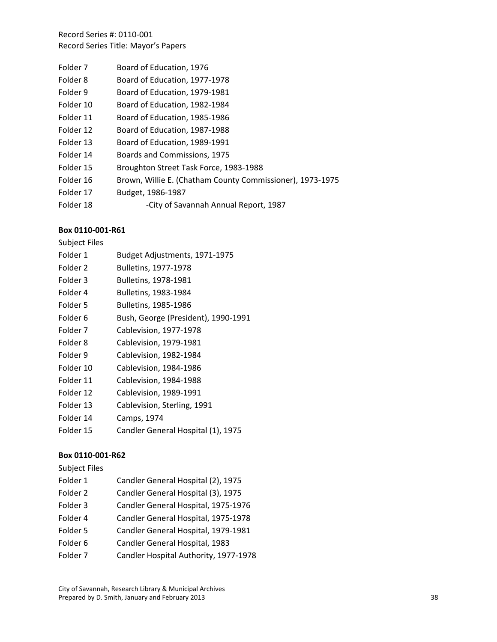- Folder 7 Board of Education, 1976
- Folder 8 Board of Education, 1977-1978
- Folder 9 Board of Education, 1979-1981
- Folder 10 Board of Education, 1982-1984
- Folder 11 Board of Education, 1985-1986
- Folder 12 Board of Education, 1987-1988
- Folder 13 Board of Education, 1989-1991
- Folder 14 Boards and Commissions, 1975
- Folder 15 Broughton Street Task Force, 1983-1988
- Folder 16 Brown, Willie E. (Chatham County Commissioner), 1973-1975
- Folder 17 Budget, 1986‐1987
- Folder 18 **18 -City of Savannah Annual Report, 1987**

## **Box 0110‐001‐R61**

| <b>Subject Files</b> |                                     |
|----------------------|-------------------------------------|
| Folder 1             | Budget Adjustments, 1971-1975       |
| Folder 2             | <b>Bulletins, 1977-1978</b>         |
| Folder 3             | Bulletins, 1978-1981                |
| Folder 4             | Bulletins, 1983-1984                |
| Folder 5             | <b>Bulletins, 1985-1986</b>         |
| Folder <sub>6</sub>  | Bush, George (President), 1990-1991 |
| Folder 7             | Cablevision, 1977-1978              |
| Folder 8             | Cablevision, 1979-1981              |
| Folder 9             | Cablevision, 1982-1984              |
| Folder 10            | Cablevision, 1984-1986              |
| Folder 11            | Cablevision, 1984-1988              |
| Folder 12            | Cablevision, 1989-1991              |
| Folder 13            | Cablevision, Sterling, 1991         |
| Folder 14            | Camps, 1974                         |
| Folder 15            | Candler General Hospital (1), 1975  |

# **Box 0110‐001‐R62**

Subject Files

Folder 1 Candler General Hospital (2), 1975 Folder 2 Candler General Hospital (3), 1975 Folder 3 Candler General Hospital, 1975‐1976 Folder 4 Candler General Hospital, 1975‐1978 Folder 5 Candler General Hospital, 1979‐1981 Folder 6 Candler General Hospital, 1983 Folder 7 Candler Hospital Authority, 1977‐1978

City of Savannah, Research Library & Municipal Archives Prepared by D. Smith, January and February 2013 38 38 38 38 38 38 38 38 38 38 38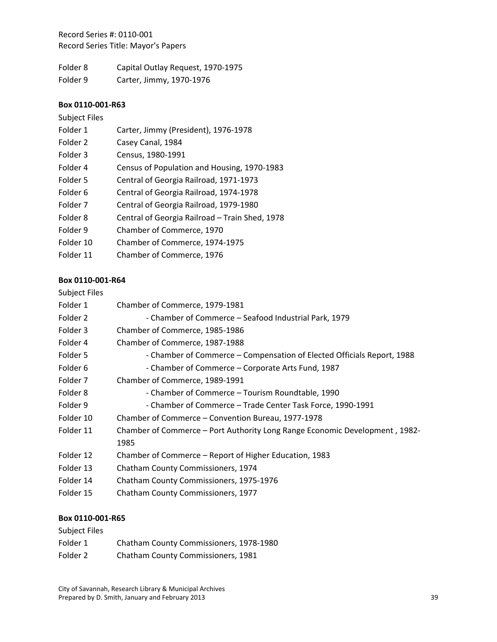Folder 8 Capital Outlay Request, 1970‐1975 Folder 9 Carter, Jimmy, 1970-1976

#### **Box 0110‐001‐R63**

### Subject Files

| Folder 1 | Carter, Jimmy (President), 1976-1978 |
|----------|--------------------------------------|
| Folder 2 | Casey Canal, 1984                    |

| Folder 3            | Census, 1980-1991                              |
|---------------------|------------------------------------------------|
| Folder 4            | Census of Population and Housing, 1970-1983    |
| Folder 5            | Central of Georgia Railroad, 1971-1973         |
| Folder 6            | Central of Georgia Railroad, 1974-1978         |
| Folder <sub>7</sub> | Central of Georgia Railroad, 1979-1980         |
| Folder <sub>8</sub> | Central of Georgia Railroad - Train Shed, 1978 |
| Folder 9            | Chamber of Commerce, 1970                      |
| Folder 10           | Chamber of Commerce, 1974-1975                 |
| Folder 11           | Chamber of Commerce, 1976                      |

# **Box 0110‐001‐R64**

## Subject Files

| Folder 1  | Chamber of Commerce, 1979-1981                                              |
|-----------|-----------------------------------------------------------------------------|
| Folder 2  | - Chamber of Commerce - Seafood Industrial Park, 1979                       |
| Folder 3  | Chamber of Commerce, 1985-1986                                              |
| Folder 4  | Chamber of Commerce, 1987-1988                                              |
| Folder 5  | - Chamber of Commerce – Compensation of Elected Officials Report, 1988      |
| Folder 6  | - Chamber of Commerce – Corporate Arts Fund, 1987                           |
| Folder 7  | Chamber of Commerce, 1989-1991                                              |
| Folder 8  | - Chamber of Commerce – Tourism Roundtable, 1990                            |
| Folder 9  | - Chamber of Commerce - Trade Center Task Force, 1990-1991                  |
| Folder 10 | Chamber of Commerce – Convention Bureau, 1977-1978                          |
| Folder 11 | Chamber of Commerce – Port Authority Long Range Economic Development, 1982- |
|           | 1985                                                                        |
| Folder 12 | Chamber of Commerce – Report of Higher Education, 1983                      |
| Folder 13 | Chatham County Commissioners, 1974                                          |
| Folder 14 | Chatham County Commissioners, 1975-1976                                     |
| Folder 15 | Chatham County Commissioners, 1977                                          |
|           |                                                                             |

| Subject Files |                                           |  |
|---------------|-------------------------------------------|--|
| Folder 1      | Chatham County Commissioners, 1978-1980   |  |
| Folder 2      | <b>Chatham County Commissioners, 1981</b> |  |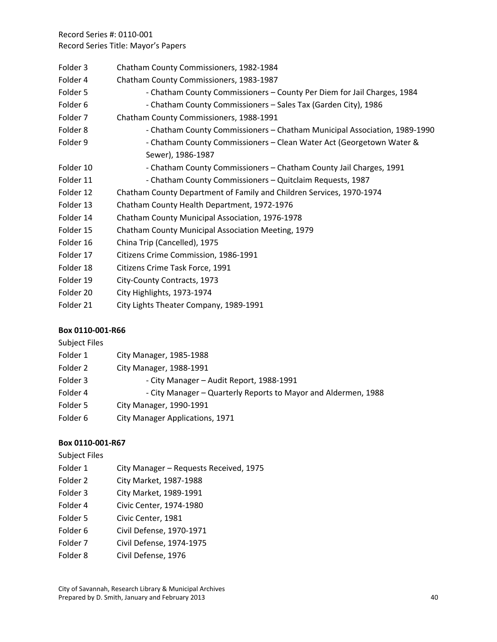- Folder 3 Chatham County Commissioners, 1982-1984
- Folder 4 Chatham County Commissioners, 1983‐1987
- Folder 5 **6 -** Chatham County Commissioners County Per Diem for Jail Charges, 1984
- Folder 6  **Chatham County Commissioners Sales Tax (Garden City), 1986**
- Folder 7 Chatham County Commissioners, 1988‐1991
- Folder 8 **6 -** Chatham County Commissioners Chatham Municipal Association, 1989-1990
- Folder 9 Chatham County Commissioners Clean Water Act (Georgetown Water & Sewer), 1986‐1987
- Folder 10 Chatham County Commissioners Chatham County Jail Charges, 1991
- Folder 11 Chatham County Commissioners Quitclaim Requests, 1987
- Folder 12 Chatham County Department of Family and Children Services, 1970‐1974
- Folder 13 Chatham County Health Department, 1972‐1976
- Folder 14 Chatham County Municipal Association, 1976‐1978
- Folder 15 Chatham County Municipal Association Meeting, 1979
- Folder 16 China Trip (Cancelled), 1975
- Folder 17 Citizens Crime Commission, 1986-1991
- Folder 18 Citizens Crime Task Force, 1991
- Folder 19 City-County Contracts, 1973
- Folder 20 City Highlights, 1973‐1974
- Folder 21 City Lights Theater Company, 1989‐1991

# **Box 0110‐001‐R66**

| <b>Subject Files</b> |                                                                |
|----------------------|----------------------------------------------------------------|
| Folder 1             | City Manager, 1985-1988                                        |
| Folder 2             | City Manager, 1988-1991                                        |
| Folder 3             | - City Manager - Audit Report, 1988-1991                       |
| Folder 4             | - City Manager - Quarterly Reports to Mayor and Aldermen, 1988 |
| Folder 5             | City Manager, 1990-1991                                        |
| Folder 6             | City Manager Applications, 1971                                |

| <b>Subject Files</b> |                                        |
|----------------------|----------------------------------------|
| Folder 1             | City Manager - Requests Received, 1975 |
| Folder 2             | City Market, 1987-1988                 |
| Folder 3             | City Market, 1989-1991                 |
| Folder 4             | Civic Center, 1974-1980                |
| Folder 5             | Civic Center, 1981                     |
| Folder 6             | Civil Defense, 1970-1971               |
| Folder <sub>7</sub>  | Civil Defense, 1974-1975               |
| Folder <sub>8</sub>  | Civil Defense, 1976                    |
|                      |                                        |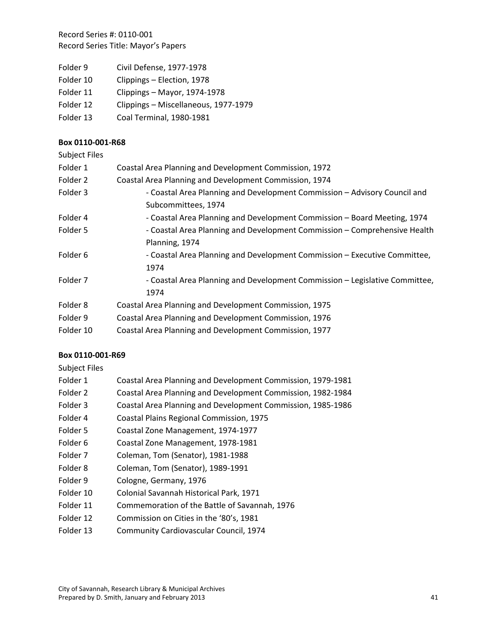- Folder 9 Civil Defense, 1977-1978
- Folder 10 Clippings Election, 1978
- Folder 11 Clippings Mayor, 1974‐1978
- Folder 12 Clippings Miscellaneous, 1977‐1979
- Folder 13 Coal Terminal, 1980-1981

#### **Box 0110‐001‐R68**

| <b>Subject Files</b> |                                                                             |
|----------------------|-----------------------------------------------------------------------------|
| Folder 1             | Coastal Area Planning and Development Commission, 1972                      |
| Folder 2             | Coastal Area Planning and Development Commission, 1974                      |
| Folder 3             | - Coastal Area Planning and Development Commission - Advisory Council and   |
|                      | Subcommittees, 1974                                                         |
| Folder 4             | - Coastal Area Planning and Development Commission - Board Meeting, 1974    |
| Folder 5             | - Coastal Area Planning and Development Commission - Comprehensive Health   |
|                      | Planning, 1974                                                              |
| Folder <sub>6</sub>  | - Coastal Area Planning and Development Commission - Executive Committee,   |
|                      | 1974                                                                        |
| Folder <sub>7</sub>  | - Coastal Area Planning and Development Commission - Legislative Committee, |
|                      | 1974                                                                        |
| Folder 8             | Coastal Area Planning and Development Commission, 1975                      |
| Folder 9             | Coastal Area Planning and Development Commission, 1976                      |
| Folder 10            | Coastal Area Planning and Development Commission, 1977                      |

### **Box 0110‐001‐R69**

Subject Files

| Folder 1            | Coastal Area Planning and Development Commission, 1979-1981 |
|---------------------|-------------------------------------------------------------|
| Folder 2            | Coastal Area Planning and Development Commission, 1982-1984 |
| Folder 3            | Coastal Area Planning and Development Commission, 1985-1986 |
| Folder 4            | Coastal Plains Regional Commission, 1975                    |
| Folder 5            | Coastal Zone Management, 1974-1977                          |
| Folder 6            | Coastal Zone Management, 1978-1981                          |
| Folder 7            | Coleman, Tom (Senator), 1981-1988                           |
| Folder <sub>8</sub> | Coleman, Tom (Senator), 1989-1991                           |
| Folder 9            | Cologne, Germany, 1976                                      |
| Folder 10           | Colonial Savannah Historical Park, 1971                     |
| Folder 11           | Commemoration of the Battle of Savannah, 1976               |
| Folder 12           | Commission on Cities in the '80's, 1981                     |
| Folder 13           | Community Cardiovascular Council, 1974                      |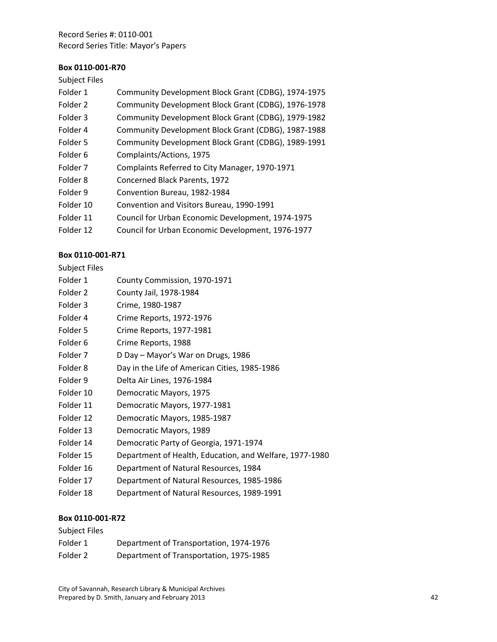#### **Box 0110‐001‐R70**

### Subject Files

- Folder 1 Community Development Block Grant (CDBG), 1974-1975 Folder 2 Community Development Block Grant (CDBG), 1976-1978 Folder 3 Community Development Block Grant (CDBG), 1979‐1982 Folder 4 Community Development Block Grant (CDBG), 1987‐1988 Folder 5 Community Development Block Grant (CDBG), 1989-1991 Folder 6 Complaints/Actions, 1975 Folder 7 Complaints Referred to City Manager, 1970-1971
- Folder 8 Concerned Black Parents, 1972
- Folder 9 Convention Bureau, 1982-1984
- Folder 10 Convention and Visitors Bureau, 1990‐1991
- Folder 11 Council for Urban Economic Development, 1974-1975
- Folder 12 Council for Urban Economic Development, 1976-1977

#### **Box 0110‐001‐R71**

### Subject Files

- Folder 1 County Commission, 1970-1971
- Folder 2 County Jail, 1978-1984
- Folder 3 Crime, 1980‐1987
- Folder 4 Crime Reports, 1972-1976
- Folder 5 Crime Reports, 1977-1981
- Folder 6 Crime Reports, 1988
- Folder 7 D Day Mayor's War on Drugs, 1986
- Folder 8 Day in the Life of American Cities, 1985-1986
- Folder 9 Delta Air Lines, 1976-1984
- Folder 10 Democratic Mayors, 1975
- Folder 11 Democratic Mayors, 1977‐1981
- Folder 12 Democratic Mayors, 1985-1987
- Folder 13 Democratic Mayors, 1989
- Folder 14 Democratic Party of Georgia, 1971‐1974
- Folder 15 Department of Health, Education, and Welfare, 1977-1980
- Folder 16 Department of Natural Resources, 1984
- Folder 17 Department of Natural Resources, 1985‐1986
- Folder 18 Department of Natural Resources, 1989‐1991

| Subject Files |                                         |
|---------------|-----------------------------------------|
| Folder 1      | Department of Transportation, 1974-1976 |
| Folder 2      | Department of Transportation, 1975-1985 |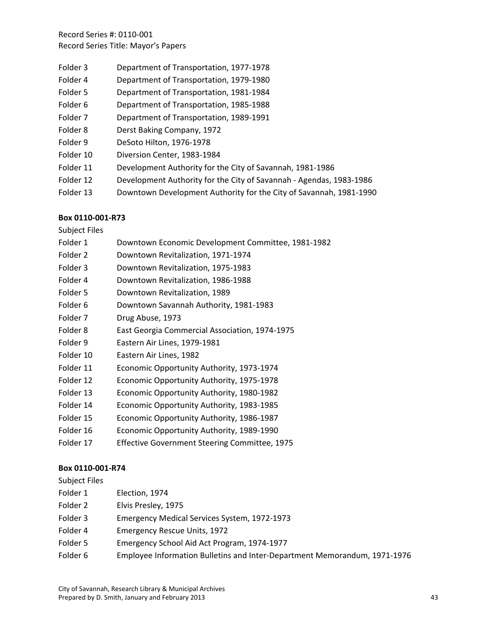- Folder 3 Department of Transportation, 1977-1978
- Folder 4 Department of Transportation, 1979-1980
- Folder 5 Department of Transportation, 1981-1984
- Folder 6 Department of Transportation, 1985-1988
- Folder 7 Department of Transportation, 1989-1991
- Folder 8 Derst Baking Company, 1972
- Folder 9 DeSoto Hilton, 1976-1978
- Folder 10 Diversion Center, 1983-1984
- Folder 11 Development Authority for the City of Savannah, 1981-1986
- Folder 12 Development Authority for the City of Savannah Agendas, 1983-1986
- Folder 13 Downtown Development Authority for the City of Savannah, 1981‐1990

## **Box 0110‐001‐R73**

Subject Files

- Folder 1 Downtown Economic Development Committee, 1981-1982
- Folder 2 Downtown Revitalization, 1971‐1974
- Folder 3 Downtown Revitalization, 1975-1983
- Folder 4 Downtown Revitalization, 1986-1988
- Folder 5 Downtown Revitalization, 1989
- Folder 6 Downtown Savannah Authority, 1981-1983
- Folder 7 Drug Abuse, 1973
- Folder 8 East Georgia Commercial Association, 1974‐1975
- Folder 9 Eastern Air Lines, 1979-1981
- Folder 10 Eastern Air Lines, 1982
- Folder 11 Economic Opportunity Authority, 1973‐1974
- Folder 12 Economic Opportunity Authority, 1975‐1978
- Folder 13 Economic Opportunity Authority, 1980‐1982
- Folder 14 Economic Opportunity Authority, 1983-1985
- Folder 15 Economic Opportunity Authority, 1986‐1987
- Folder 16 Economic Opportunity Authority, 1989-1990
- Folder 17 Effective Government Steering Committee, 1975

### **Box 0110‐001‐R74**

Subject Files

- Folder 1 Election, 1974
- Folder 2 Elvis Presley, 1975
- Folder 3 Emergency Medical Services System, 1972‐1973
- Folder 4 Emergency Rescue Units, 1972
- Folder 5 Emergency School Aid Act Program, 1974‐1977
- Folder 6 Employee Information Bulletins and Inter‐Department Memorandum, 1971‐1976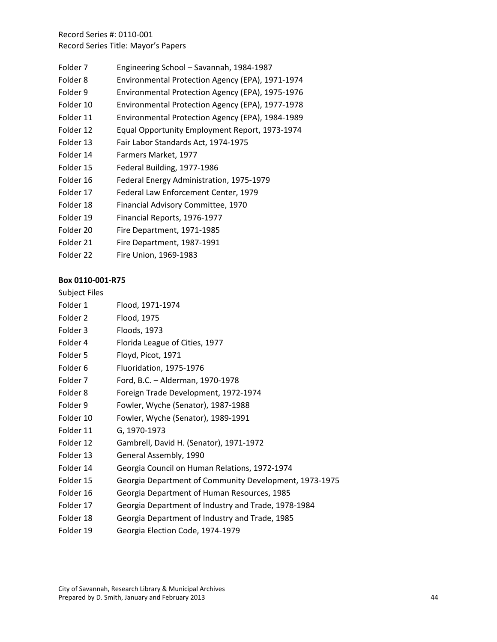- Folder 7 Engineering School Savannah, 1984‐1987
- Folder 8 Environmental Protection Agency (EPA), 1971‐1974
- Folder 9 Environmental Protection Agency (EPA), 1975-1976
- Folder 10 Environmental Protection Agency (EPA), 1977‐1978
- Folder 11 Environmental Protection Agency (EPA), 1984‐1989
- Folder 12 Equal Opportunity Employment Report, 1973‐1974
- Folder 13 Fair Labor Standards Act, 1974‐1975
- Folder 14 Farmers Market, 1977
- Folder 15 Federal Building, 1977‐1986
- Folder 16 Federal Energy Administration, 1975‐1979
- Folder 17 Federal Law Enforcement Center, 1979
- Folder 18 Financial Advisory Committee, 1970
- Folder 19 Financial Reports, 1976‐1977
- Folder 20 Fire Department, 1971‐1985
- Folder 21 Fire Department, 1987-1991
- Folder 22 Fire Union, 1969‐1983

## **Box 0110‐001‐R75**

### Subject Files

| Folder 1            | Flood, 1971-1974                               |
|---------------------|------------------------------------------------|
| Folder 2            | Flood, 1975                                    |
| Folder 3            | Floods, 1973                                   |
| Folder 4            | Florida League of Cities, 1977                 |
| Folder 5            | Floyd, Picot, 1971                             |
| Folder <sub>6</sub> | Fluoridation, 1975-1976                        |
| Folder <sub>7</sub> | Ford, B.C. - Alderman, 1970-1978               |
| Folder 8            | Foreign Trade Development, 1972-1974           |
| Folder 9            | Fowler, Wyche (Senator), 1987-1988             |
| Folder 10           | Fowler, Wyche (Senator), 1989-1991             |
| Folder 11           | G, 1970-1973                                   |
| Folder 12           | Gambrell, David H. (Senator), 1971-1972        |
| Folder 13           | General Assembly, 1990                         |
| Folder 14           | Georgia Council on Human Relations, 1972-1974  |
| Folder 15           | Georgia Department of Community Developmen     |
| Folder 16           | Georgia Department of Human Resources, 1985    |
| Folder 17           | Georgia Department of Industry and Trade, 1978 |
| Folder 18           | Georgia Department of Industry and Trade, 1985 |
|                     |                                                |

- ht, 1973-1975
- Folder 17 Georgia Department of Industry and Trade, 1978‐1984
- Folder 19 Georgia Election Code, 1974‐1979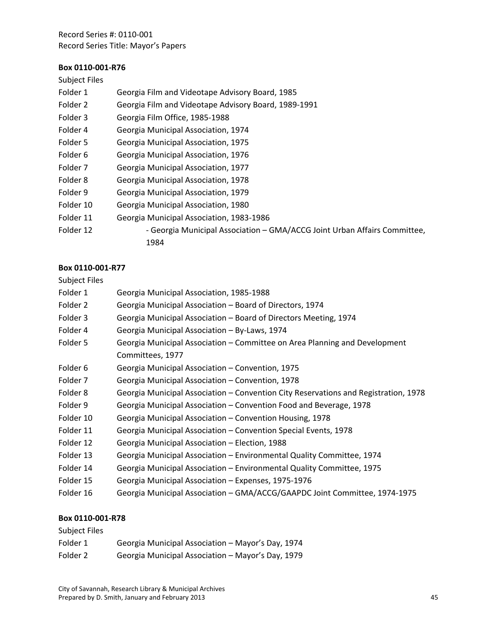#### **Box 0110‐001‐R76**

## Subject Files

- Folder 1 Georgia Film and Videotape Advisory Board, 1985
- Folder 2 Georgia Film and Videotape Advisory Board, 1989‐1991
- Folder 3 Georgia Film Office, 1985-1988
- Folder 4 Georgia Municipal Association, 1974
- Folder 5 Georgia Municipal Association, 1975
- Folder 6 Georgia Municipal Association, 1976
- Folder 7 Georgia Municipal Association, 1977
- Folder 8 Georgia Municipal Association, 1978
- Folder 9 Georgia Municipal Association, 1979
- Folder 10 Georgia Municipal Association, 1980
- Folder 11 Georgia Municipal Association, 1983‐1986
- Folder 12 **••** Georgia Municipal Association GMA/ACCG Joint Urban Affairs Committee, 1984

### **Box 0110‐001‐R77**

#### Subject Files

Folder 1 Georgia Municipal Association, 1985‐1988 Folder 2 Georgia Municipal Association – Board of Directors, 1974 Folder 3 Georgia Municipal Association – Board of Directors Meeting, 1974 Folder 4 Georgia Municipal Association – By‐Laws, 1974 Folder 5 Georgia Municipal Association – Committee on Area Planning and Development Committees, 1977 Folder 6 Georgia Municipal Association – Convention, 1975 Folder 7 Georgia Municipal Association – Convention, 1978 Folder 8 Georgia Municipal Association – Convention City Reservations and Registration, 1978 Folder 9 Georgia Municipal Association – Convention Food and Beverage, 1978 Folder 10 Georgia Municipal Association – Convention Housing, 1978 Folder 11 Georgia Municipal Association – Convention Special Events, 1978 Folder 12 Georgia Municipal Association – Election, 1988 Folder 13 Georgia Municipal Association – Environmental Quality Committee, 1974 Folder 14 Georgia Municipal Association – Environmental Quality Committee, 1975 Folder 15 Georgia Municipal Association – Expenses, 1975-1976 Folder 16 Georgia Municipal Association – GMA/ACCG/GAAPDC Joint Committee, 1974‐1975

| Subject Files |                                                   |
|---------------|---------------------------------------------------|
| Folder 1      | Georgia Municipal Association – Mayor's Day, 1974 |
| Folder 2      | Georgia Municipal Association – Mayor's Day, 1979 |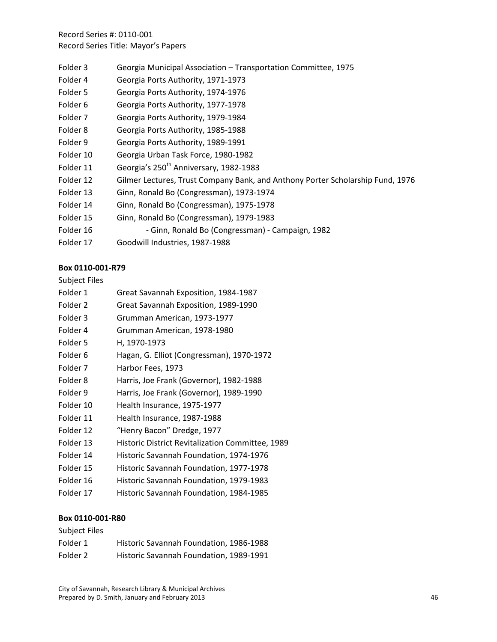- Folder 3 Georgia Municipal Association Transportation Committee, 1975
- Folder 4 Georgia Ports Authority, 1971‐1973
- Folder 5 Georgia Ports Authority, 1974‐1976
- Folder 6 Georgia Ports Authority, 1977-1978
- Folder 7 Georgia Ports Authority, 1979-1984
- Folder 8 Georgia Ports Authority, 1985-1988
- Folder 9 Georgia Ports Authority, 1989-1991
- Folder 10 Georgia Urban Task Force, 1980-1982
- Folder 11 Georgia's 250<sup>th</sup> Anniversary, 1982-1983
- Folder 12 Gilmer Lectures, Trust Company Bank, and Anthony Porter Scholarship Fund, 1976
- Folder 13 Ginn, Ronald Bo (Congressman), 1973‐1974
- Folder 14 Ginn, Ronald Bo (Congressman), 1975‐1978
- Folder 15 Ginn, Ronald Bo (Congressman), 1979‐1983
- Folder 16 **6 -** Ginn, Ronald Bo (Congressman) Campaign, 1982
- Folder 17 Goodwill Industries, 1987‐1988

### **Box 0110‐001‐R79**

#### Subject Files

- Folder 1 Great Savannah Exposition, 1984‐1987
- Folder 2 Great Savannah Exposition, 1989-1990
- Folder 3 Grumman American, 1973‐1977
- Folder 4 Grumman American, 1978‐1980
- Folder 5 H, 1970‐1973
- Folder 6 Hagan, G. Elliot (Congressman), 1970‐1972
- Folder 7 Harbor Fees, 1973
- Folder 8 Harris, Joe Frank (Governor), 1982-1988
- Folder 9 Harris, Joe Frank (Governor), 1989-1990
- Folder 10 Health Insurance, 1975-1977
- Folder 11 Health Insurance, 1987-1988
- Folder 12 "Henry Bacon" Dredge, 1977
- Folder 13 Historic District Revitalization Committee, 1989
- Folder 14 Historic Savannah Foundation, 1974‐1976
- Folder 15 Historic Savannah Foundation, 1977‐1978
- Folder 16 Historic Savannah Foundation, 1979-1983
- Folder 17 Historic Savannah Foundation, 1984‐1985

| Subject Files |                                         |
|---------------|-----------------------------------------|
| Folder 1      | Historic Savannah Foundation, 1986-1988 |
| Folder 2      | Historic Savannah Foundation, 1989-1991 |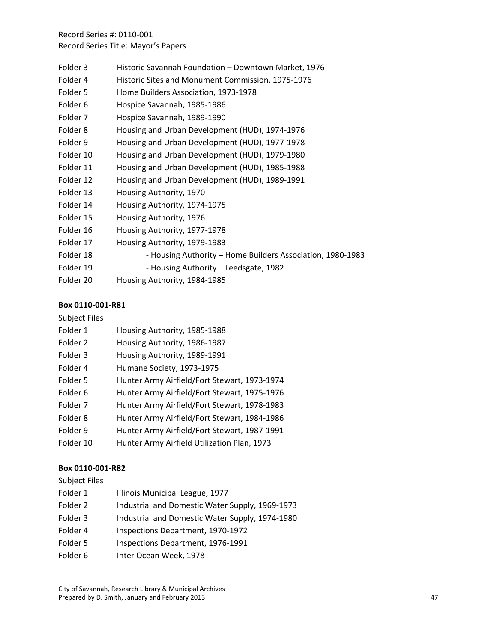- Folder 3 Historic Savannah Foundation Downtown Market, 1976
- Folder 4 Historic Sites and Monument Commission, 1975-1976
- Folder 5 Home Builders Association, 1973‐1978
- Folder 6 Hospice Savannah, 1985-1986
- Folder 7 Hospice Savannah, 1989‐1990
- Folder 8 Housing and Urban Development (HUD), 1974-1976
- Folder 9 Housing and Urban Development (HUD), 1977-1978
- Folder 10 Housing and Urban Development (HUD), 1979-1980
- Folder 11 Housing and Urban Development (HUD), 1985-1988
- Folder 12 Housing and Urban Development (HUD), 1989-1991
- Folder 13 Housing Authority, 1970
- Folder 14 Housing Authority, 1974-1975
- Folder 15 Housing Authority, 1976
- Folder 16 Housing Authority, 1977-1978
- Folder 17 Housing Authority, 1979-1983
- Folder 18 ‐ Housing Authority Home Builders Association, 1980‐1983
- Folder 19 ‐ Housing Authority Leedsgate, 1982
- Folder 20 Housing Authority, 1984-1985

### **Box 0110‐001‐R81**

## Subject Files

| Folder 1  | Housing Authority, 1985-1988                 |
|-----------|----------------------------------------------|
| Folder 2  | Housing Authority, 1986-1987                 |
| Folder 3  | Housing Authority, 1989-1991                 |
| Folder 4  | Humane Society, 1973-1975                    |
| Folder 5  | Hunter Army Airfield/Fort Stewart, 1973-1974 |
| Folder 6  | Hunter Army Airfield/Fort Stewart, 1975-1976 |
| Folder 7  | Hunter Army Airfield/Fort Stewart, 1978-1983 |
| Folder 8  | Hunter Army Airfield/Fort Stewart, 1984-1986 |
| Folder 9  | Hunter Army Airfield/Fort Stewart, 1987-1991 |
| Folder 10 | Hunter Army Airfield Utilization Plan, 1973  |

#### **Box 0110‐001‐R82**

Subject Files

- Folder 1 **Illinois Municipal League, 1977**
- Folder 2 Industrial and Domestic Water Supply, 1969-1973
- Folder 3 Industrial and Domestic Water Supply, 1974-1980
- Folder 4 Inspections Department, 1970-1972
- Folder 5 Inspections Department, 1976-1991
- Folder 6 Inter Ocean Week, 1978

City of Savannah, Research Library & Municipal Archives Prepared by D. Smith, January and February 2013 47 47 48 48 48 48 48 48 49 48 4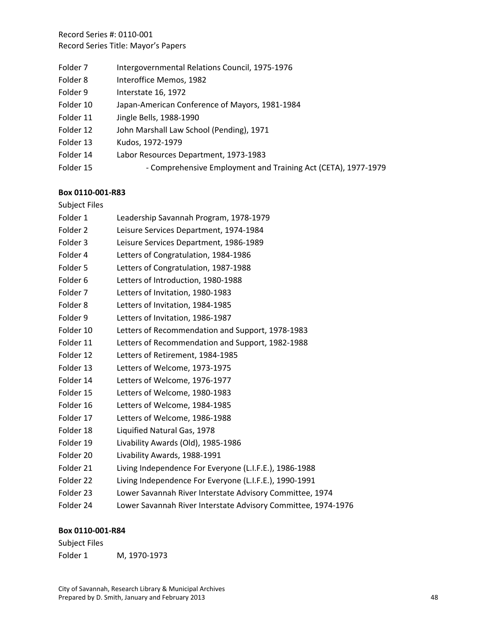- Folder 7 Intergovernmental Relations Council, 1975-1976
- Folder 8 Interoffice Memos, 1982
- Folder 9 Interstate 16, 1972
- Folder 10 Japan‐American Conference of Mayors, 1981‐1984
- Folder 11 Jingle Bells, 1988-1990
- Folder 12 John Marshall Law School (Pending), 1971
- Folder 13 Kudos, 1972‐1979
- Folder 14 Labor Resources Department, 1973‐1983
- Folder 15 Comprehensive Employment and Training Act (CETA), 1977-1979

#### **Box 0110‐001‐R83**

#### Subject Files

- Folder 1 Leadership Savannah Program, 1978‐1979
- Folder 2 Leisure Services Department, 1974‐1984
- Folder 3 Leisure Services Department, 1986‐1989
- Folder 4 Letters of Congratulation, 1984-1986
- Folder 5 Letters of Congratulation, 1987-1988
- Folder 6 Letters of Introduction, 1980-1988
- Folder 7 Letters of Invitation, 1980-1983
- Folder 8 Letters of Invitation, 1984-1985
- Folder 9 Letters of Invitation, 1986-1987
- Folder 10 Letters of Recommendation and Support, 1978-1983
- Folder 11 Letters of Recommendation and Support, 1982-1988
- Folder 12 Letters of Retirement, 1984‐1985
- Folder 13 Letters of Welcome, 1973‐1975
- Folder 14 Letters of Welcome, 1976-1977
- Folder 15 Letters of Welcome, 1980-1983
- Folder 16 Letters of Welcome, 1984-1985
- Folder 17 Letters of Welcome, 1986-1988
- Folder 18 Liquified Natural Gas, 1978
- Folder 19 Livability Awards (Old), 1985‐1986
- Folder 20 Livability Awards, 1988-1991
- Folder 21 Living Independence For Everyone (L.I.F.E.), 1986-1988
- Folder 22 Living Independence For Everyone (L.I.F.E.), 1990-1991
- Folder 23 Lower Savannah River Interstate Advisory Committee, 1974
- Folder 24 Lower Savannah River Interstate Advisory Committee, 1974‐1976

#### **Box 0110‐001‐R84**

Subject Files Folder 1 M, 1970‐1973

City of Savannah, Research Library & Municipal Archives Prepared by D. Smith, January and February 2013 48 48 48 48 48 48 48 48 48 48 48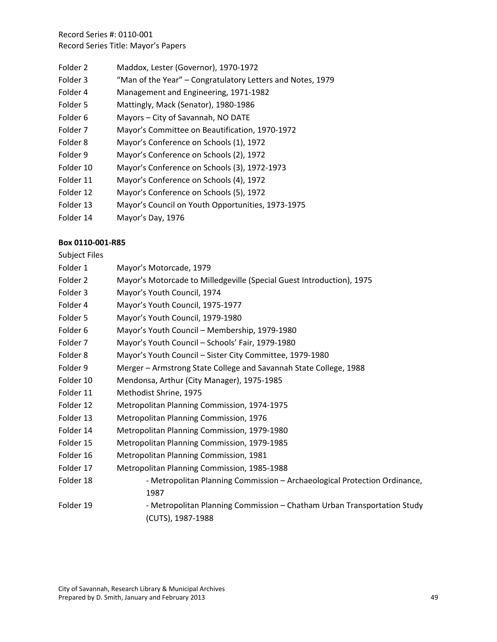- Folder 2 Maddox, Lester (Governor), 1970‐1972
- Folder 3 "Man of the Year" Congratulatory Letters and Notes, 1979
- Folder 4 Management and Engineering, 1971‐1982
- Folder 5 Mattingly, Mack (Senator), 1980‐1986
- Folder 6 Mayors City of Savannah, NO DATE
- Folder 7 Mayor's Committee on Beautification, 1970‐1972
- Folder 8 Mayor's Conference on Schools (1), 1972
- Folder 9 Mayor's Conference on Schools (2), 1972
- Folder 10 Mayor's Conference on Schools (3), 1972‐1973
- Folder 11 Mayor's Conference on Schools (4), 1972
- Folder 12 Mayor's Conference on Schools (5), 1972
- Folder 13 Mayor's Council on Youth Opportunities, 1973‐1975
- Folder 14 Mayor's Day, 1976

#### **Box 0110‐001‐R85**

Subject Files

Folder 1 Mayor's Motorcade, 1979 Folder 2 Mayor's Motorcade to Milledgeville (Special Guest Introduction), 1975 Folder 3 Mayor's Youth Council, 1974 Folder 4 Mayor's Youth Council, 1975‐1977 Folder 5 Mayor's Youth Council, 1979‐1980 Folder 6 Mayor's Youth Council – Membership, 1979‐1980 Folder 7 Mayor's Youth Council – Schools' Fair, 1979‐1980 Folder 8 Mayor's Youth Council – Sister City Committee, 1979-1980 Folder 9 Merger – Armstrong State College and Savannah State College, 1988 Folder 10 Mendonsa, Arthur (City Manager), 1975‐1985 Folder 11 Methodist Shrine, 1975 Folder 12 Metropolitan Planning Commission, 1974‐1975 Folder 13 Metropolitan Planning Commission, 1976 Folder 14 Metropolitan Planning Commission, 1979‐1980 Folder 15 Metropolitan Planning Commission, 1979‐1985 Folder 16 Metropolitan Planning Commission, 1981 Folder 17 Metropolitan Planning Commission, 1985‐1988 Folder 18 ‐ Metropolitan Planning Commission – Archaeological Protection Ordinance, 1987 Folder 19 **19** - Metropolitan Planning Commission – Chatham Urban Transportation Study (CUTS), 1987‐1988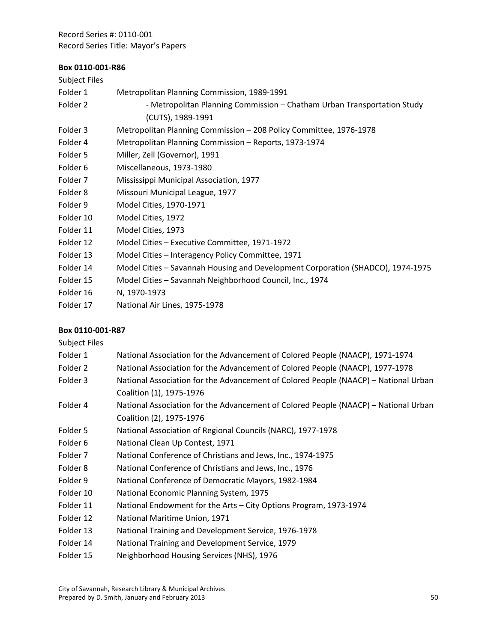# **Box 0110‐001‐R86**

| <b>Subject Files</b> |                                                                                 |
|----------------------|---------------------------------------------------------------------------------|
| Folder 1             | Metropolitan Planning Commission, 1989-1991                                     |
| Folder 2             | - Metropolitan Planning Commission - Chatham Urban Transportation Study         |
|                      | (CUTS), 1989-1991                                                               |
| Folder 3             | Metropolitan Planning Commission - 208 Policy Committee, 1976-1978              |
| Folder 4             | Metropolitan Planning Commission - Reports, 1973-1974                           |
| Folder 5             | Miller, Zell (Governor), 1991                                                   |
| Folder 6             | Miscellaneous, 1973-1980                                                        |
| Folder 7             | Mississippi Municipal Association, 1977                                         |
| Folder 8             | Missouri Municipal League, 1977                                                 |
| Folder 9             | Model Cities, 1970-1971                                                         |
| Folder 10            | Model Cities, 1972                                                              |
| Folder 11            | Model Cities, 1973                                                              |
| Folder 12            | Model Cities - Executive Committee, 1971-1972                                   |
| Folder 13            | Model Cities - Interagency Policy Committee, 1971                               |
| Folder 14            | Model Cities - Savannah Housing and Development Corporation (SHADCO), 1974-1975 |
| Folder 15            | Model Cities - Savannah Neighborhood Council, Inc., 1974                        |
| Folder 16            | N, 1970-1973                                                                    |
| Folder 17            | National Air Lines, 1975-1978                                                   |
|                      |                                                                                 |

| <b>Subject Files</b> |                                                                                     |
|----------------------|-------------------------------------------------------------------------------------|
| Folder 1             | National Association for the Advancement of Colored People (NAACP), 1971-1974       |
| Folder 2             | National Association for the Advancement of Colored People (NAACP), 1977-1978       |
| Folder 3             | National Association for the Advancement of Colored People (NAACP) - National Urban |
|                      | Coalition (1), 1975-1976                                                            |
| Folder 4             | National Association for the Advancement of Colored People (NAACP) - National Urban |
|                      | Coalition (2), 1975-1976                                                            |
| Folder 5             | National Association of Regional Councils (NARC), 1977-1978                         |
| Folder 6             | National Clean Up Contest, 1971                                                     |
| Folder 7             | National Conference of Christians and Jews, Inc., 1974-1975                         |
| Folder 8             | National Conference of Christians and Jews, Inc., 1976                              |
| Folder 9             | National Conference of Democratic Mayors, 1982-1984                                 |
| Folder 10            | National Economic Planning System, 1975                                             |
| Folder 11            | National Endowment for the Arts - City Options Program, 1973-1974                   |
| Folder 12            | National Maritime Union, 1971                                                       |
| Folder 13            | National Training and Development Service, 1976-1978                                |
| Folder 14            | National Training and Development Service, 1979                                     |
| Folder 15            | Neighborhood Housing Services (NHS), 1976                                           |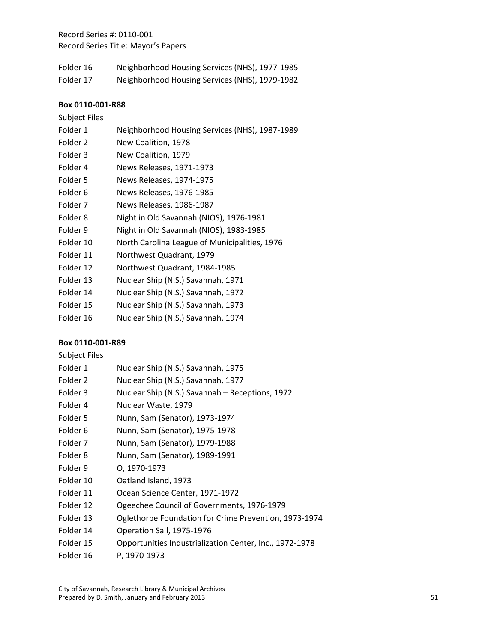| Folder 16 | Neighborhood Housing Services (NHS), 1977-1985 |
|-----------|------------------------------------------------|
| Folder 17 | Neighborhood Housing Services (NHS), 1979-1982 |

#### **Box 0110‐001‐R88**

# Subject Files

| Folder 1  | Neighborhood Housing Services (NHS), 1987-1989 |
|-----------|------------------------------------------------|
| Folder 2  | New Coalition, 1978                            |
| Folder 3  | New Coalition, 1979                            |
| Folder 4  | News Releases, 1971-1973                       |
| Folder 5  | News Releases, 1974-1975                       |
| Folder 6  | News Releases, 1976-1985                       |
| Folder 7  | News Releases, 1986-1987                       |
| Folder 8  | Night in Old Savannah (NIOS), 1976-1981        |
| Folder 9  | Night in Old Savannah (NIOS), 1983-1985        |
| Folder 10 | North Carolina League of Municipalities, 1976  |
| Folder 11 | Northwest Quadrant, 1979                       |
| Folder 12 | Northwest Quadrant, 1984-1985                  |
| Folder 13 | Nuclear Ship (N.S.) Savannah, 1971             |
| Folder 14 | Nuclear Ship (N.S.) Savannah, 1972             |
| Folder 15 | Nuclear Ship (N.S.) Savannah, 1973             |
| Folder 16 | Nuclear Ship (N.S.) Savannah, 1974             |

| <b>Subject Files</b> |                                                         |
|----------------------|---------------------------------------------------------|
| Folder 1             | Nuclear Ship (N.S.) Savannah, 1975                      |
| Folder 2             | Nuclear Ship (N.S.) Savannah, 1977                      |
| Folder 3             | Nuclear Ship (N.S.) Savannah - Receptions, 1972         |
| Folder 4             | Nuclear Waste, 1979                                     |
| Folder 5             | Nunn, Sam (Senator), 1973-1974                          |
| Folder 6             | Nunn, Sam (Senator), 1975-1978                          |
| Folder 7             | Nunn, Sam (Senator), 1979-1988                          |
| Folder 8             | Nunn, Sam (Senator), 1989-1991                          |
| Folder 9             | 0, 1970-1973                                            |
| Folder 10            | Oatland Island, 1973                                    |
| Folder 11            | Ocean Science Center, 1971-1972                         |
| Folder 12            | Ogeechee Council of Governments, 1976-1979              |
| Folder 13            | Oglethorpe Foundation for Crime Prevention, 1973-1974   |
| Folder 14            | Operation Sail, 1975-1976                               |
| Folder 15            | Opportunities Industrialization Center, Inc., 1972-1978 |
| Folder 16            | P, 1970-1973                                            |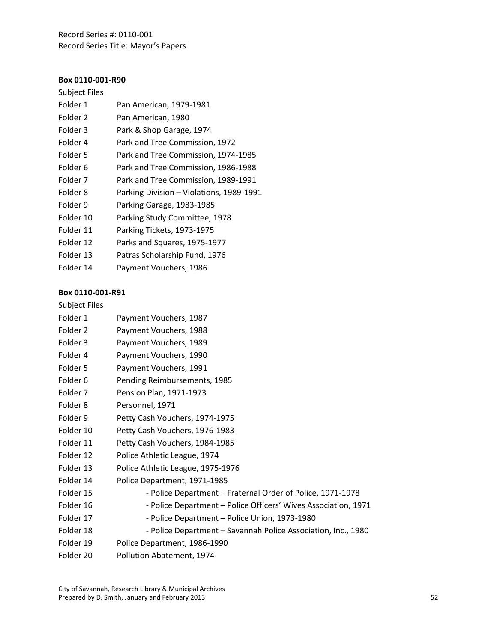## **Box 0110‐001‐R90**

| <b>Subject Files</b> |                                          |
|----------------------|------------------------------------------|
| Folder 1             | Pan American, 1979-1981                  |
| Folder 2             | Pan American, 1980                       |
| Folder 3             | Park & Shop Garage, 1974                 |
| Folder 4             | Park and Tree Commission, 1972           |
| Folder 5             | Park and Tree Commission, 1974-1985      |
| Folder 6             | Park and Tree Commission, 1986-1988      |
| Folder 7             | Park and Tree Commission, 1989-1991      |
| Folder 8             | Parking Division - Violations, 1989-1991 |
| Folder 9             | Parking Garage, 1983-1985                |
| Folder 10            | Parking Study Committee, 1978            |
| Folder 11            | Parking Tickets, 1973-1975               |
| Folder 12            | Parks and Squares, 1975-1977             |
| Folder 13            | Patras Scholarship Fund, 1976            |
| Folder 14            | Payment Vouchers, 1986                   |

#### **Box 0110‐001‐R91**

# Subject Files

| Folder 1            | Payment Vouchers, 1987                                         |
|---------------------|----------------------------------------------------------------|
| Folder 2            | Payment Vouchers, 1988                                         |
| Folder 3            | Payment Vouchers, 1989                                         |
| Folder 4            | Payment Vouchers, 1990                                         |
| Folder 5            | Payment Vouchers, 1991                                         |
| Folder 6            | Pending Reimbursements, 1985                                   |
| Folder 7            | Pension Plan, 1971-1973                                        |
| Folder <sub>8</sub> | Personnel, 1971                                                |
| Folder 9            | Petty Cash Vouchers, 1974-1975                                 |
| Folder 10           | Petty Cash Vouchers, 1976-1983                                 |
| Folder 11           | Petty Cash Vouchers, 1984-1985                                 |
| Folder 12           | Police Athletic League, 1974                                   |
| Folder 13           | Police Athletic League, 1975-1976                              |
| Folder 14           | Police Department, 1971-1985                                   |
| Folder 15           | - Police Department - Fraternal Order of Police, 1971-1978     |
| Folder 16           | - Police Department - Police Officers' Wives Association, 1971 |
| Folder 17           | - Police Department - Police Union, 1973-1980                  |
| Folder 18           | - Police Department - Savannah Police Association, Inc., 1980  |
| Folder 19           | Police Department, 1986-1990                                   |
| Folder 20           | Pollution Abatement, 1974                                      |
|                     |                                                                |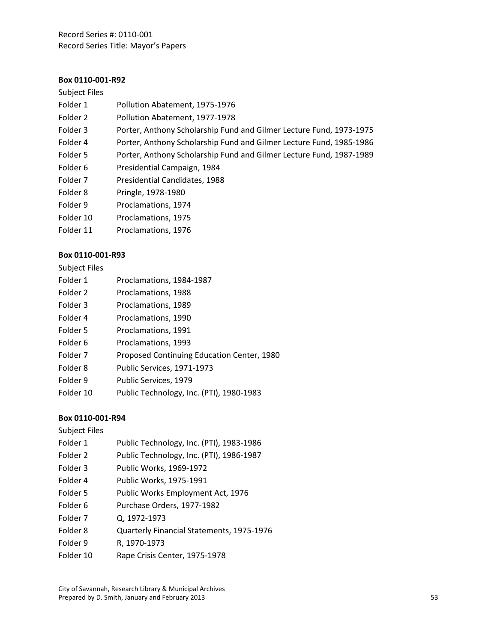## **Box 0110‐001‐R92**

#### Subject Files

| Folder 1  | Pollution Abatement, 1975-1976                                      |
|-----------|---------------------------------------------------------------------|
| Folder 2  | Pollution Abatement, 1977-1978                                      |
| Folder 3  | Porter, Anthony Scholarship Fund and Gilmer Lecture Fund, 1973-1975 |
| Folder 4  | Porter, Anthony Scholarship Fund and Gilmer Lecture Fund, 1985-1986 |
| Folder 5  | Porter, Anthony Scholarship Fund and Gilmer Lecture Fund, 1987-1989 |
| Folder 6  | Presidential Campaign, 1984                                         |
| Folder 7  | Presidential Candidates, 1988                                       |
| Folder 8  | Pringle, 1978-1980                                                  |
| Folder 9  | Proclamations, 1974                                                 |
| Folder 10 | Proclamations, 1975                                                 |
| Folder 11 | Proclamations, 1976                                                 |

#### **Box 0110‐001‐R93**

| <b>Subject Files</b> |  |
|----------------------|--|
|----------------------|--|

| Folder 1  | Proclamations, 1984-1987                   |
|-----------|--------------------------------------------|
| Folder 2  | Proclamations, 1988                        |
| Folder 3  | Proclamations, 1989                        |
| Folder 4  | Proclamations, 1990                        |
| Folder 5  | Proclamations, 1991                        |
| Folder 6  | Proclamations, 1993                        |
| Folder 7  | Proposed Continuing Education Center, 1980 |
| Folder 8  | Public Services, 1971-1973                 |
| Folder 9  | Public Services, 1979                      |
| Folder 10 | Public Technology, Inc. (PTI), 1980-1983   |

#### **Box 0110‐001‐R94**

Subject Files

- Folder 1 Public Technology, Inc. (PTI), 1983-1986
- Folder 2 Public Technology, Inc. (PTI), 1986-1987
- Folder 3 Public Works, 1969-1972
- Folder 4 Public Works, 1975-1991
- Folder 5 Public Works Employment Act, 1976
- Folder 6 Purchase Orders, 1977-1982
- Folder 7 Q, 1972‐1973
- Folder 8 Quarterly Financial Statements, 1975‐1976
- Folder 9 R, 1970‐1973
- Folder 10 Rape Crisis Center, 1975-1978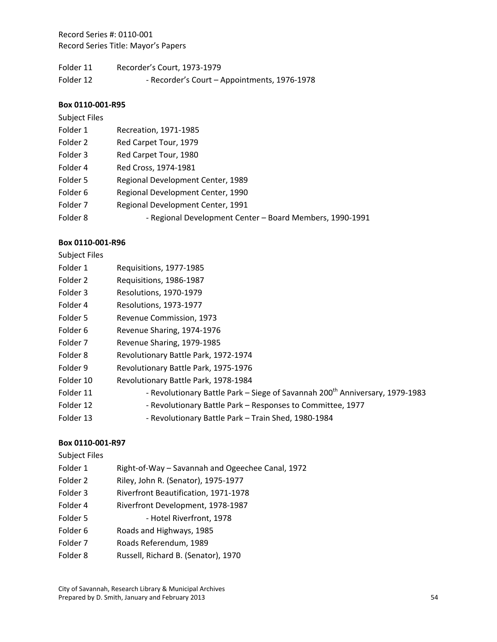| Folder 11 | Recorder's Court, 1973-1979                  |
|-----------|----------------------------------------------|
| Folder 12 | - Recorder's Court - Appointments, 1976-1978 |

#### **Box 0110‐001‐R95**

# Subject Files

| Folder 1            | Recreation, 1971-1985                                    |
|---------------------|----------------------------------------------------------|
| Folder 2            | Red Carpet Tour, 1979                                    |
| Folder 3            | Red Carpet Tour, 1980                                    |
| Folder 4            | Red Cross, 1974-1981                                     |
| Folder 5            | Regional Development Center, 1989                        |
| Folder 6            | Regional Development Center, 1990                        |
| Folder <sub>7</sub> | Regional Development Center, 1991                        |
| Folder 8            | - Regional Development Center - Board Members, 1990-1991 |
|                     |                                                          |

### **Box 0110‐001‐R96**

| <b>Subject Files</b> |                                                                                          |
|----------------------|------------------------------------------------------------------------------------------|
| Folder 1             | Requisitions, 1977-1985                                                                  |
| Folder 2             | Requisitions, 1986-1987                                                                  |
| Folder 3             | Resolutions, 1970-1979                                                                   |
| Folder 4             | Resolutions, 1973-1977                                                                   |
| Folder 5             | Revenue Commission, 1973                                                                 |
| Folder 6             | Revenue Sharing, 1974-1976                                                               |
| Folder 7             | Revenue Sharing, 1979-1985                                                               |
| Folder 8             | Revolutionary Battle Park, 1972-1974                                                     |
| Folder 9             | Revolutionary Battle Park, 1975-1976                                                     |
| Folder 10            | Revolutionary Battle Park, 1978-1984                                                     |
| Folder 11            | - Revolutionary Battle Park - Siege of Savannah 200 <sup>th</sup> Anniversary, 1979-1983 |
| Folder 12            | - Revolutionary Battle Park - Responses to Committee, 1977                               |
| Folder 13            | - Revolutionary Battle Park - Train Shed, 1980-1984                                      |

| Subject Files       |                                                  |
|---------------------|--------------------------------------------------|
| Folder 1            | Right-of-Way – Savannah and Ogeechee Canal, 1972 |
| Folder 2            | Riley, John R. (Senator), 1975-1977              |
| Folder 3            | <b>Riverfront Beautification, 1971-1978</b>      |
| Folder 4            | Riverfront Development, 1978-1987                |
| Folder 5            | - Hotel Riverfront, 1978                         |
| Folder <sub>6</sub> | Roads and Highways, 1985                         |
| Folder 7            | Roads Referendum, 1989                           |
| Folder 8            | Russell, Richard B. (Senator), 1970              |
|                     |                                                  |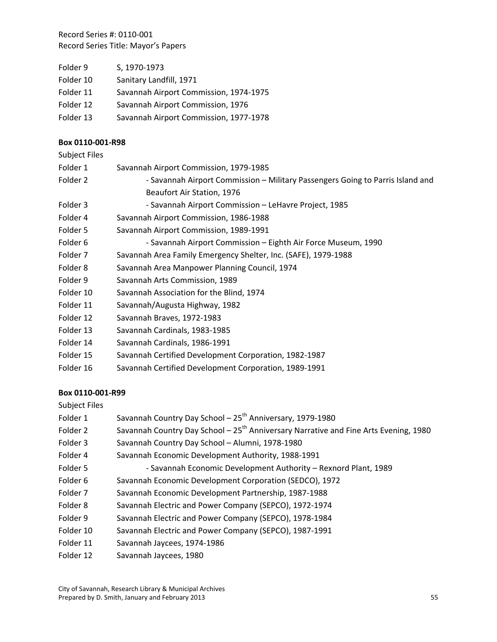| Folder 9  | S, 1970-1973                           |
|-----------|----------------------------------------|
| Folder 10 | Sanitary Landfill, 1971                |
| Folder 11 | Savannah Airport Commission, 1974-1975 |
| Folder 12 | Savannah Airport Commission, 1976      |
| Folder 13 | Savannah Airport Commission, 1977-1978 |

## **Box 0110‐001‐R98**

| Subject Files |                                                                                |
|---------------|--------------------------------------------------------------------------------|
| Folder 1      | Savannah Airport Commission, 1979-1985                                         |
| Folder 2      | - Savannah Airport Commission - Military Passengers Going to Parris Island and |
|               | Beaufort Air Station, 1976                                                     |
| Folder 3      | - Savannah Airport Commission - LeHavre Project, 1985                          |
| Folder 4      | Savannah Airport Commission, 1986-1988                                         |
| Folder 5      | Savannah Airport Commission, 1989-1991                                         |
| Folder 6      | - Savannah Airport Commission – Eighth Air Force Museum, 1990                  |
| Folder 7      | Savannah Area Family Emergency Shelter, Inc. (SAFE), 1979-1988                 |
| Folder 8      | Savannah Area Manpower Planning Council, 1974                                  |
| Folder 9      | Savannah Arts Commission, 1989                                                 |
| Folder 10     | Savannah Association for the Blind, 1974                                       |
| Folder 11     | Savannah/Augusta Highway, 1982                                                 |
| Folder 12     | Savannah Braves, 1972-1983                                                     |
| Folder 13     | Savannah Cardinals, 1983-1985                                                  |
| Folder 14     | Savannah Cardinals, 1986-1991                                                  |
| Folder 15     | Savannah Certified Development Corporation, 1982-1987                          |
| Folder 16     | Savannah Certified Development Corporation, 1989-1991                          |
|               |                                                                                |

# **Box 0110‐001‐R99**

Subject Files

- Folder 1 Savannah Country Day School 25<sup>th</sup> Anniversary, 1979-1980 Folder 2 Savannah Country Day School –  $25<sup>th</sup>$  Anniversary Narrative and Fine Arts Evening, 1980 Folder 3 Savannah Country Day School – Alumni, 1978-1980 Folder 4 Savannah Economic Development Authority, 1988-1991 Folder 5 **6 -** Savannah Economic Development Authority – Rexnord Plant, 1989 Folder 6 Savannah Economic Development Corporation (SEDCO), 1972 Folder 7 Savannah Economic Development Partnership, 1987-1988 Folder 8 Savannah Electric and Power Company (SEPCO), 1972-1974 Folder 9 Savannah Electric and Power Company (SEPCO), 1978-1984 Folder 10 Savannah Electric and Power Company (SEPCO), 1987-1991 Folder 11 Savannah Jaycees, 1974‐1986
- Folder 12 Savannah Jaycees, 1980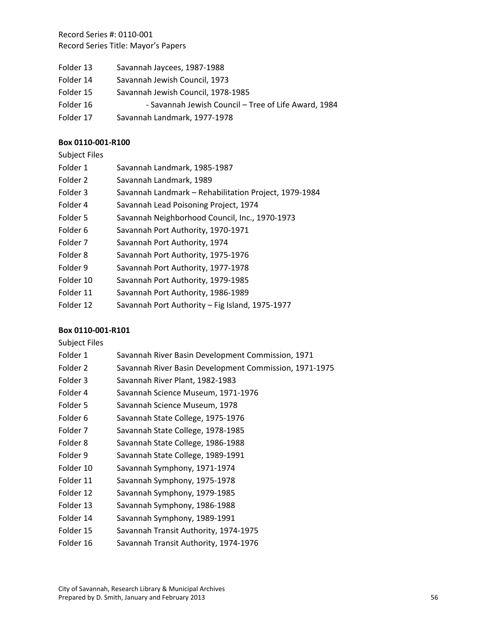- Folder 13 Savannah Jaycees, 1987-1988
- Folder 14 Savannah Jewish Council, 1973
- Folder 15 Savannah Jewish Council, 1978‐1985
- Folder 16 **6 Savannah Jewish Council Tree of Life Award, 1984**
- Folder 17 Savannah Landmark, 1977‐1978

#### **Box 0110‐001‐R100**

| Subject Files |  |
|---------------|--|
|               |  |

| Folder 1            | Savannah Landmark, 1985-1987                          |
|---------------------|-------------------------------------------------------|
| Folder <sub>2</sub> | Savannah Landmark, 1989                               |
| Folder 3            | Savannah Landmark - Rehabilitation Project, 1979-1984 |
| Folder 4            | Savannah Lead Poisoning Project, 1974                 |
| Folder 5            | Savannah Neighborhood Council, Inc., 1970-1973        |
| Folder 6            | Savannah Port Authority, 1970-1971                    |
| Folder 7            | Savannah Port Authority, 1974                         |
| Folder 8            | Savannah Port Authority, 1975-1976                    |
| Folder 9            | Savannah Port Authority, 1977-1978                    |
| Folder 10           | Savannah Port Authority, 1979-1985                    |
| Folder 11           | Savannah Port Authority, 1986-1989                    |
| Folder 12           | Savannah Port Authority - Fig Island, 1975-1977       |

## **Box 0110‐001‐R101**

| <b>Subject Files</b> |                                                        |
|----------------------|--------------------------------------------------------|
| Folder 1             | Savannah River Basin Development Commission, 1971      |
| Folder 2             | Savannah River Basin Development Commission, 1971-1975 |
| Folder 3             | Savannah River Plant, 1982-1983                        |
| Folder 4             | Savannah Science Museum, 1971-1976                     |
| Folder 5             | Savannah Science Museum, 1978                          |
| Folder 6             | Savannah State College, 1975-1976                      |
| Folder 7             | Savannah State College, 1978-1985                      |
| Folder 8             | Savannah State College, 1986-1988                      |
| Folder 9             | Savannah State College, 1989-1991                      |
| Folder 10            | Savannah Symphony, 1971-1974                           |
| Folder 11            | Savannah Symphony, 1975-1978                           |
| Folder 12            | Savannah Symphony, 1979-1985                           |
| Folder 13            | Savannah Symphony, 1986-1988                           |
| Folder 14            | Savannah Symphony, 1989-1991                           |
| Folder 15            | Savannah Transit Authority, 1974-1975                  |

Folder 16 Savannah Transit Authority, 1974-1976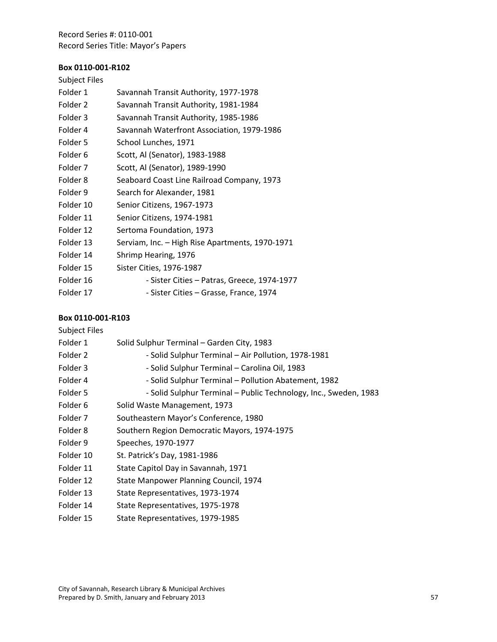# **Box 0110‐001‐R102**

# Subject Files

| Folder 1            | Savannah Transit Authority, 1977-1978           |
|---------------------|-------------------------------------------------|
| Folder <sub>2</sub> | Savannah Transit Authority, 1981-1984           |
| Folder 3            | Savannah Transit Authority, 1985-1986           |
| Folder 4            | Savannah Waterfront Association, 1979-1986      |
| Folder 5            | School Lunches, 1971                            |
| Folder 6            | Scott, Al (Senator), 1983-1988                  |
| Folder 7            | Scott, Al (Senator), 1989-1990                  |
| Folder 8            | Seaboard Coast Line Railroad Company, 1973      |
| Folder 9            | Search for Alexander, 1981                      |
| Folder 10           | Senior Citizens, 1967-1973                      |
| Folder 11           | Senior Citizens, 1974-1981                      |
| Folder 12           | Sertoma Foundation, 1973                        |
| Folder 13           | Serviam, Inc. - High Rise Apartments, 1970-1971 |
| Folder 14           | Shrimp Hearing, 1976                            |
| Folder 15           | Sister Cities, 1976-1987                        |
| Folder 16           | - Sister Cities – Patras, Greece, 1974-1977     |
|                     |                                                 |

Folder 17 - Sister Cities – Grasse, France, 1974

| <b>Subject Files</b> |                                                                  |
|----------------------|------------------------------------------------------------------|
| Folder 1             | Solid Sulphur Terminal - Garden City, 1983                       |
| Folder 2             | - Solid Sulphur Terminal - Air Pollution, 1978-1981              |
| Folder 3             | - Solid Sulphur Terminal - Carolina Oil, 1983                    |
| Folder 4             | - Solid Sulphur Terminal - Pollution Abatement, 1982             |
| Folder 5             | - Solid Sulphur Terminal - Public Technology, Inc., Sweden, 1983 |
| Folder 6             | Solid Waste Management, 1973                                     |
| Folder 7             | Southeastern Mayor's Conference, 1980                            |
| Folder 8             | Southern Region Democratic Mayors, 1974-1975                     |
| Folder 9             | Speeches, 1970-1977                                              |
| Folder 10            | St. Patrick's Day, 1981-1986                                     |
| Folder 11            | State Capitol Day in Savannah, 1971                              |
| Folder 12            | State Manpower Planning Council, 1974                            |
| Folder 13            | State Representatives, 1973-1974                                 |
| Folder 14            | State Representatives, 1975-1978                                 |
| Folder 15            | State Representatives, 1979-1985                                 |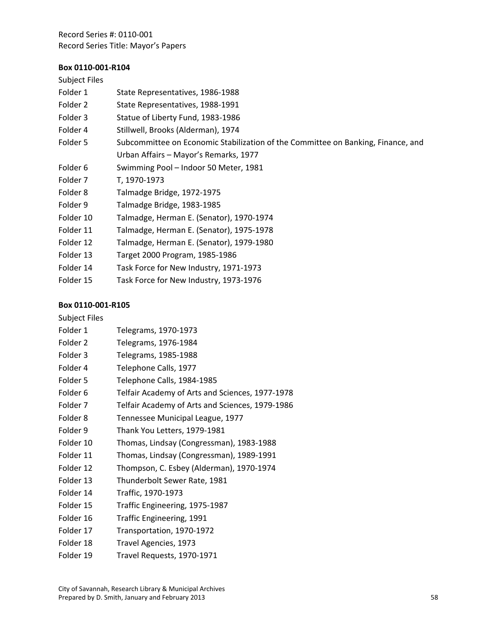# **Box 0110‐001‐R104**

| <b>Subject Files</b> |                                                                                  |
|----------------------|----------------------------------------------------------------------------------|
| Folder 1             | State Representatives, 1986-1988                                                 |
| Folder 2             | State Representatives, 1988-1991                                                 |
| Folder 3             | Statue of Liberty Fund, 1983-1986                                                |
| Folder 4             | Stillwell, Brooks (Alderman), 1974                                               |
| Folder 5             | Subcommittee on Economic Stabilization of the Committee on Banking, Finance, and |
|                      | Urban Affairs - Mayor's Remarks, 1977                                            |
| Folder 6             | Swimming Pool - Indoor 50 Meter, 1981                                            |
| Folder 7             | T, 1970-1973                                                                     |
| Folder 8             | Talmadge Bridge, 1972-1975                                                       |
| Folder 9             | Talmadge Bridge, 1983-1985                                                       |
| Folder 10            | Talmadge, Herman E. (Senator), 1970-1974                                         |
| Folder 11            | Talmadge, Herman E. (Senator), 1975-1978                                         |
| Folder 12            | Talmadge, Herman E. (Senator), 1979-1980                                         |
| Folder 13            | Target 2000 Program, 1985-1986                                                   |
| Folder 14            | Task Force for New Industry, 1971-1973                                           |
| Folder 15            | Task Force for New Industry, 1973-1976                                           |

| <b>Subject Files</b> |                                                 |
|----------------------|-------------------------------------------------|
| Folder 1             | Telegrams, 1970-1973                            |
| Folder <sub>2</sub>  | Telegrams, 1976-1984                            |
| Folder 3             | Telegrams, 1985-1988                            |
| Folder 4             | Telephone Calls, 1977                           |
| Folder 5             | Telephone Calls, 1984-1985                      |
| Folder <sub>6</sub>  | Telfair Academy of Arts and Sciences, 1977-1978 |
| Folder <sub>7</sub>  | Telfair Academy of Arts and Sciences, 1979-1986 |
| Folder 8             | Tennessee Municipal League, 1977                |
| Folder 9             | Thank You Letters, 1979-1981                    |
| Folder 10            | Thomas, Lindsay (Congressman), 1983-1988        |
| Folder 11            | Thomas, Lindsay (Congressman), 1989-1991        |
| Folder 12            | Thompson, C. Esbey (Alderman), 1970-1974        |
| Folder 13            | Thunderbolt Sewer Rate, 1981                    |
| Folder 14            | Traffic, 1970-1973                              |
| Folder 15            | Traffic Engineering, 1975-1987                  |
| Folder 16            | Traffic Engineering, 1991                       |
| Folder 17            | Transportation, 1970-1972                       |
| Folder 18            | Travel Agencies, 1973                           |
| Folder 19            | Travel Requests, 1970-1971                      |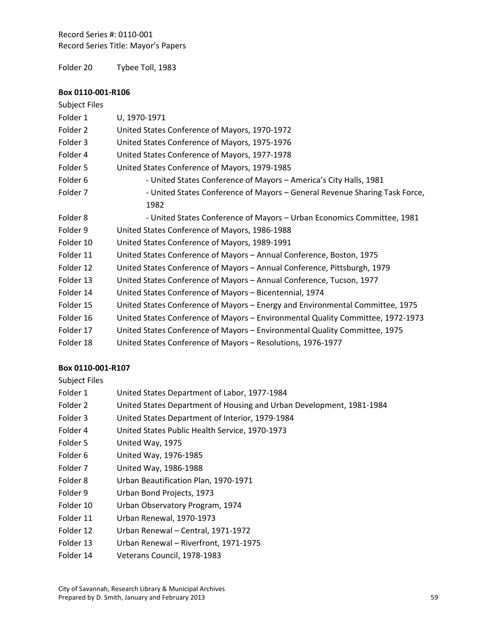Folder 20 Tybee Toll, 1983

#### **Box 0110‐001‐R106**

| <b>Subject Files</b> |                                                                                 |
|----------------------|---------------------------------------------------------------------------------|
| Folder 1             | U, 1970-1971                                                                    |
| Folder 2             | United States Conference of Mayors, 1970-1972                                   |
| Folder 3             | United States Conference of Mayors, 1975-1976                                   |
| Folder 4             | United States Conference of Mayors, 1977-1978                                   |
| Folder 5             | United States Conference of Mayors, 1979-1985                                   |
| Folder 6             | - United States Conference of Mayors - America's City Halls, 1981               |
| Folder 7             | - United States Conference of Mayors - General Revenue Sharing Task Force,      |
|                      | 1982                                                                            |
| Folder 8             | - United States Conference of Mayors - Urban Economics Committee, 1981          |
| Folder 9             | United States Conference of Mayors, 1986-1988                                   |
| Folder 10            | United States Conference of Mayors, 1989-1991                                   |
| Folder 11            | United States Conference of Mayors - Annual Conference, Boston, 1975            |
| Folder 12            | United States Conference of Mayors - Annual Conference, Pittsburgh, 1979        |
| Folder 13            | United States Conference of Mayors - Annual Conference, Tucson, 1977            |
| Folder 14            | United States Conference of Mayors - Bicentennial, 1974                         |
| Folder 15            | United States Conference of Mayors - Energy and Environmental Committee, 1975   |
| Folder 16            | United States Conference of Mayors - Environmental Quality Committee, 1972-1973 |
| Folder 17            | United States Conference of Mayors - Environmental Quality Committee, 1975      |
| Folder 18            | United States Conference of Mayors - Resolutions, 1976-1977                     |

## **Box 0110‐001‐R107**

| <b>Subject Files</b> |
|----------------------|
|----------------------|

| Folder 1  | United States Department of Labor, 1977-1984                         |
|-----------|----------------------------------------------------------------------|
| Folder 2  | United States Department of Housing and Urban Development, 1981-1984 |
| Folder 3  | United States Department of Interior, 1979-1984                      |
| Folder 4  | United States Public Health Service, 1970-1973                       |
| Folder 5  | United Way, 1975                                                     |
| Folder 6  | United Way, 1976-1985                                                |
| Folder 7  | United Way, 1986-1988                                                |
| Folder 8  | Urban Beautification Plan, 1970-1971                                 |
| Folder 9  | Urban Bond Projects, 1973                                            |
| Folder 10 | Urban Observatory Program, 1974                                      |
| Folder 11 | Urban Renewal, 1970-1973                                             |
| Folder 12 | Urban Renewal - Central, 1971-1972                                   |
| Folder 13 | Urban Renewal - Riverfront, 1971-1975                                |

Folder 14 Veterans Council, 1978-1983